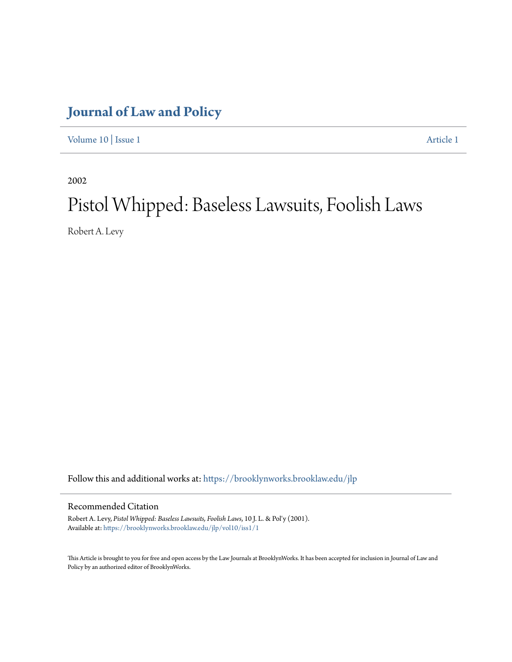# **[Journal of Law and Policy](https://brooklynworks.brooklaw.edu/jlp?utm_source=brooklynworks.brooklaw.edu%2Fjlp%2Fvol10%2Fiss1%2F1&utm_medium=PDF&utm_campaign=PDFCoverPages)**

[Volume 10](https://brooklynworks.brooklaw.edu/jlp/vol10?utm_source=brooklynworks.brooklaw.edu%2Fjlp%2Fvol10%2Fiss1%2F1&utm_medium=PDF&utm_campaign=PDFCoverPages) | [Issue 1](https://brooklynworks.brooklaw.edu/jlp/vol10/iss1?utm_source=brooklynworks.brooklaw.edu%2Fjlp%2Fvol10%2Fiss1%2F1&utm_medium=PDF&utm_campaign=PDFCoverPages) [Article 1](https://brooklynworks.brooklaw.edu/jlp/vol10/iss1/1?utm_source=brooklynworks.brooklaw.edu%2Fjlp%2Fvol10%2Fiss1%2F1&utm_medium=PDF&utm_campaign=PDFCoverPages)

2002

# Pistol Whipped: Baseless Lawsuits, Foolish Laws

Robert A. Levy

Follow this and additional works at: [https://brooklynworks.brooklaw.edu/jlp](https://brooklynworks.brooklaw.edu/jlp?utm_source=brooklynworks.brooklaw.edu%2Fjlp%2Fvol10%2Fiss1%2F1&utm_medium=PDF&utm_campaign=PDFCoverPages)

# Recommended Citation

Robert A. Levy, *Pistol Whipped: Baseless Lawsuits, Foolish Laws*, 10 J. L. & Pol'y (2001). Available at: [https://brooklynworks.brooklaw.edu/jlp/vol10/iss1/1](https://brooklynworks.brooklaw.edu/jlp/vol10/iss1/1?utm_source=brooklynworks.brooklaw.edu%2Fjlp%2Fvol10%2Fiss1%2F1&utm_medium=PDF&utm_campaign=PDFCoverPages)

This Article is brought to you for free and open access by the Law Journals at BrooklynWorks. It has been accepted for inclusion in Journal of Law and Policy by an authorized editor of BrooklynWorks.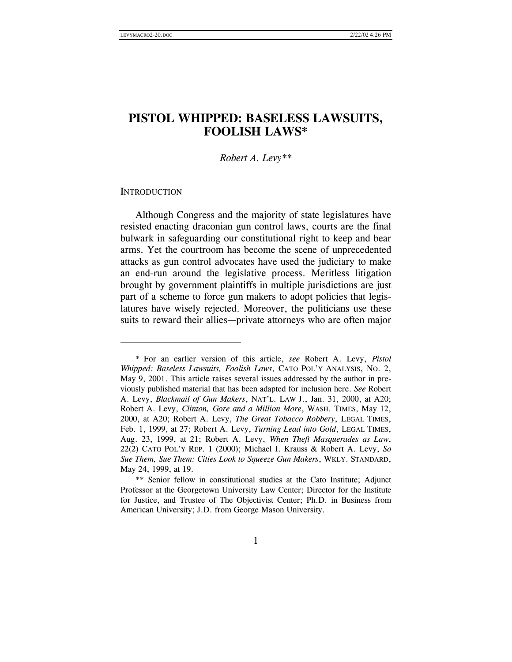# **PISTOL WHIPPED: BASELESS LAWSUITS, FOOLISH LAWS\***

#### *Robert A. Levy\*\**

#### **INTRODUCTION**

 $\overline{a}$ 

Although Congress and the majority of state legislatures have resisted enacting draconian gun control laws, courts are the final bulwark in safeguarding our constitutional right to keep and bear arms. Yet the courtroom has become the scene of unprecedented attacks as gun control advocates have used the judiciary to make an end-run around the legislative process. Meritless litigation brought by government plaintiffs in multiple jurisdictions are just part of a scheme to force gun makers to adopt policies that legislatures have wisely rejected. Moreover, the politicians use these suits to reward their allies—private attorneys who are often major

 <sup>\*</sup> For an earlier version of this article, *see* Robert A. Levy, *Pistol Whipped: Baseless Lawsuits, Foolish Laws*, CATO POL'Y ANALYSIS, NO. 2, May 9, 2001. This article raises several issues addressed by the author in previously published material that has been adapted for inclusion here. *See* Robert A. Levy, *Blackmail of Gun Makers*, NAT'L. LAW J., Jan. 31, 2000, at A20; Robert A. Levy, *Clinton, Gore and a Million More*, WASH. TIMES, May 12, 2000, at A20; Robert A. Levy, *The Great Tobacco Robbery*, LEGAL TIMES, Feb. 1, 1999, at 27; Robert A. Levy, *Turning Lead into Gold*, LEGAL TIMES, Aug. 23, 1999, at 21; Robert A. Levy, *When Theft Masquerades as Law*, 22(2) CATO POL'Y REP. 1 (2000); Michael I. Krauss & Robert A. Levy, *So Sue Them, Sue Them: Cities Look to Squeeze Gun Makers*, WKLY. STANDARD, May 24, 1999, at 19.

 <sup>\*\*</sup> Senior fellow in constitutional studies at the Cato Institute; Adjunct Professor at the Georgetown University Law Center; Director for the Institute for Justice, and Trustee of The Objectivist Center; Ph.D. in Business from American University; J.D. from George Mason University.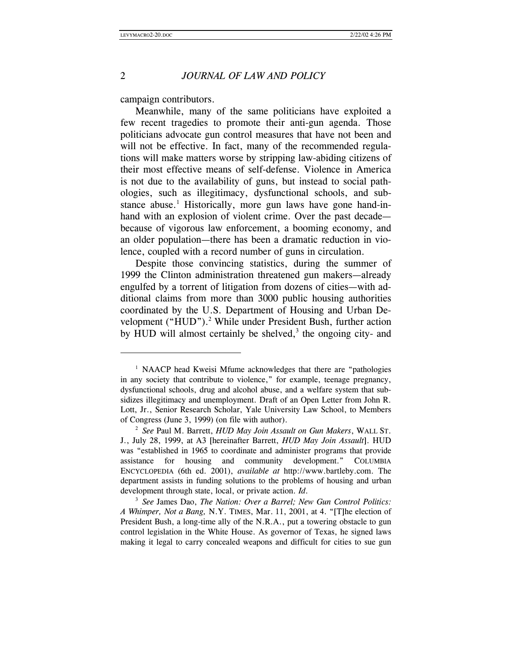# 2 *JOURNAL OF LAW AND POLICY*

campaign contributors.

Meanwhile, many of the same politicians have exploited a few recent tragedies to promote their anti-gun agenda. Those politicians advocate gun control measures that have not been and will not be effective. In fact, many of the recommended regulations will make matters worse by stripping law-abiding citizens of their most effective means of self-defense. Violence in America is not due to the availability of guns, but instead to social pathologies, such as illegitimacy, dysfunctional schools, and substance abuse.<sup>1</sup> Historically, more gun laws have gone hand-inhand with an explosion of violent crime. Over the past decade because of vigorous law enforcement, a booming economy, and an older population—there has been a dramatic reduction in violence, coupled with a record number of guns in circulation.

Despite those convincing statistics, during the summer of 1999 the Clinton administration threatened gun makers—already engulfed by a torrent of litigation from dozens of cities—with additional claims from more than 3000 public housing authorities coordinated by the U.S. Department of Housing and Urban Development ("HUD").<sup>2</sup> While under President Bush, further action by HUD will almost certainly be shelved, $3$  the ongoing city- and

<sup>&</sup>lt;sup>1</sup> NAACP head Kweisi Mfume acknowledges that there are "pathologies" in any society that contribute to violence," for example, teenage pregnancy, dysfunctional schools, drug and alcohol abuse, and a welfare system that subsidizes illegitimacy and unemployment. Draft of an Open Letter from John R. Lott, Jr., Senior Research Scholar, Yale University Law School, to Members of Congress (June 3, 1999) (on file with author). 2 *See* Paul M. Barrett, *HUD May Join Assault on Gun Makers*, WALL ST.

J., July 28, 1999, at A3 [hereinafter Barrett, *HUD May Join Assault*]. HUD was "established in 1965 to coordinate and administer programs that provide assistance for housing and community development." COLUMBIA ENCYCLOPEDIA (6th ed. 2001), *available at* http://www.bartleby.com. The department assists in funding solutions to the problems of housing and urban development through state, local, or private action. *Id.* <sup>3</sup> *See James Dao, The Nation: Over a Barrel; New Gun Control Politics:* 

*A Whimper, Not a Bang,* N.Y. TIMES, Mar. 11, 2001, at 4. "[T]he election of President Bush, a long-time ally of the N.R.A., put a towering obstacle to gun control legislation in the White House. As governor of Texas, he signed laws making it legal to carry concealed weapons and difficult for cities to sue gun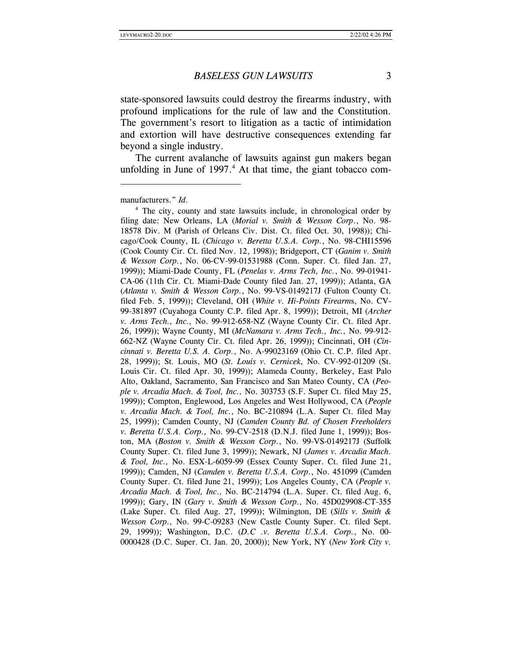state-sponsored lawsuits could destroy the firearms industry, with profound implications for the rule of law and the Constitution. The government's resort to litigation as a tactic of intimidation and extortion will have destructive consequences extending far beyond a single industry.

The current avalanche of lawsuits against gun makers began unfolding in June of 1997.<sup>4</sup> At that time, the giant tobacco com-

manufacturers." *Id*.<br><sup>4</sup> The city, county and state lawsuits include, in chronological order by filing date: New Orleans, LA (*Morial v. Smith & Wesson Corp*., No. 98- 18578 Div. M (Parish of Orleans Civ. Dist. Ct. filed Oct. 30, 1998)); Chicago/Cook County, IL (*Chicago v. Beretta U.S.A. Corp.*, No. 98-CHI15596 (Cook County Cir. Ct. filed Nov. 12, 1998)); Bridgeport, CT (*Ganim v. Smith & Wesson Corp.*, No. 06-CV-99-01531988 (Conn. Super. Ct. filed Jan. 27, 1999)); Miami-Dade County, FL (*Penelas v. Arms Tech, Inc.*, No. 99-01941- CA-06 (11th Cir. Ct. Miami-Dade County filed Jan. 27, 1999)); Atlanta, GA (*Atlanta v. Smith & Wesson Corp.*, No. 99-VS-0149217J (Fulton County Ct. filed Feb. 5, 1999)); Cleveland, OH (*White v. Hi-Points Firearm*s, No. CV-99-381897 (Cuyahoga County C.P. filed Apr. 8, 1999)); Detroit, MI (*Archer v. Arms Tech., Inc.,* No. 99-912-658-NZ (Wayne County Cir. Ct. filed Apr. 26, 1999)); Wayne County, MI (*McNamara v. Arms Tech., Inc.,* No. 99-912- 662-NZ (Wayne County Cir. Ct. filed Apr. 26, 1999)); Cincinnati, OH (*Cincinnati v. Beretta U.S. A. Corp.*, No. A-99023169 (Ohio Ct. C.P. filed Apr. 28, 1999)); St. Louis, MO (*St. Louis v. Cernicek*, No. CV-992-01209 (St. Louis Cir. Ct. filed Apr. 30, 1999)); Alameda County, Berkeley, East Palo Alto, Oakland, Sacramento, San Francisco and San Mateo County, CA (*People v. Arcadia Mach. & Tool, Inc.,* No. 303753 (S.F. Super Ct. filed May 25, 1999)); Compton, Englewood, Los Angeles and West Hollywood, CA (*People v. Arcadia Mach. & Tool, Inc.*, No. BC-210894 (L.A. Super Ct. filed May 25, 1999)); Camden County, NJ (*Camden County Bd. of Chosen Freeholders v. Beretta U.S.A. Corp.,* No. 99-CV-2518 (D.N.J. filed June 1, 1999)); Boston, MA (*Boston v. Smith & Wesson Corp.*, No. 99-VS-0149217J (Suffolk County Super. Ct. filed June 3, 1999)); Newark, NJ (*James v. Arcadia Mach. & Tool, Inc.,* No. ESX-L-6059-99 (Essex County Super. Ct. filed June 21, 1999)); Camden, NJ (*Camden v. Beretta U.S.A. Corp.*, No. 451099 (Camden County Super. Ct. filed June 21, 1999)); Los Angeles County, CA (*People v. Arcadia Mach. & Tool, Inc.,* No. BC-214794 (L.A. Super. Ct. filed Aug. 6, 1999)); Gary, IN (*Gary v. Smith & Wesson Corp.,* No. 45D029908-CT-355 (Lake Super. Ct. filed Aug. 27, 1999)); Wilmington, DE (*Sills v. Smith & Wesson Corp.,* No. 99-C-09283 (New Castle County Super. Ct. filed Sept. 29, 1999)); Washington, D.C. (*D.C .v. Beretta U.S.A. Corp.*, No. 00- 0000428 (D.C. Super. Ct. Jan. 20, 2000)); New York, NY (*New York City v.*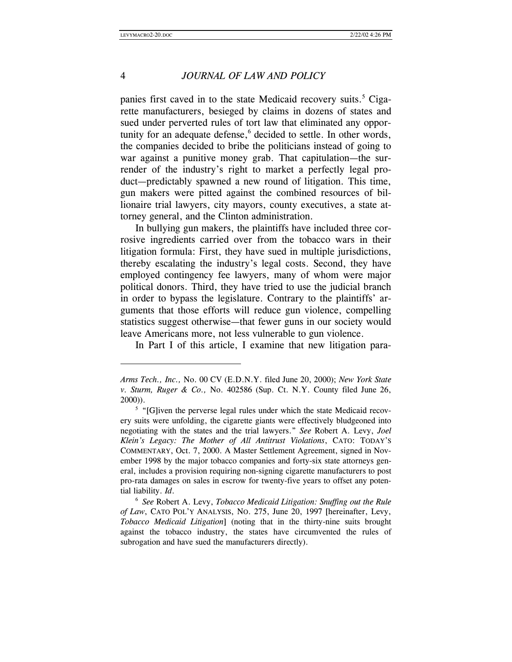#### 4 *JOURNAL OF LAW AND POLICY*

panies first caved in to the state Medicaid recovery suits.<sup>5</sup> Cigarette manufacturers, besieged by claims in dozens of states and sued under perverted rules of tort law that eliminated any opportunity for an adequate defense,<sup>6</sup> decided to settle. In other words, the companies decided to bribe the politicians instead of going to war against a punitive money grab. That capitulation—the surrender of the industry's right to market a perfectly legal product—predictably spawned a new round of litigation. This time, gun makers were pitted against the combined resources of billionaire trial lawyers, city mayors, county executives, a state attorney general, and the Clinton administration.

In bullying gun makers, the plaintiffs have included three corrosive ingredients carried over from the tobacco wars in their litigation formula: First, they have sued in multiple jurisdictions, thereby escalating the industry's legal costs. Second, they have employed contingency fee lawyers, many of whom were major political donors. Third, they have tried to use the judicial branch in order to bypass the legislature. Contrary to the plaintiffs' arguments that those efforts will reduce gun violence, compelling statistics suggest otherwise—that fewer guns in our society would leave Americans more, not less vulnerable to gun violence.

In Part I of this article, I examine that new litigation para-

*Arms Tech., Inc.,* No. 00 CV (E.D.N.Y. filed June 20, 2000); *New York State v. Sturm, Ruger & Co.,* No. 402586 (Sup. Ct. N.Y. County filed June 26, 2000)).

<sup>&</sup>lt;sup>5</sup> "[G]iven the perverse legal rules under which the state Medicaid recovery suits were unfolding, the cigarette giants were effectively bludgeoned into negotiating with the states and the trial lawyers." *See* Robert A. Levy, *Joel Klein's Legacy: The Mother of All Antitrust Violations*, CATO: TODAY'S COMMENTARY, Oct. 7, 2000. A Master Settlement Agreement, signed in November 1998 by the major tobacco companies and forty-six state attorneys general, includes a provision requiring non-signing cigarette manufacturers to post pro-rata damages on sales in escrow for twenty-five years to offset any poten-

tial liability. *Id.* 6 *See* Robert A. Levy, *Tobacco Medicaid Litigation: Snuffing out the Rule of Law*, CATO POL'Y ANALYSIS, NO. 275, June 20, 1997 [hereinafter, Levy, *Tobacco Medicaid Litigation*] (noting that in the thirty-nine suits brought against the tobacco industry, the states have circumvented the rules of subrogation and have sued the manufacturers directly).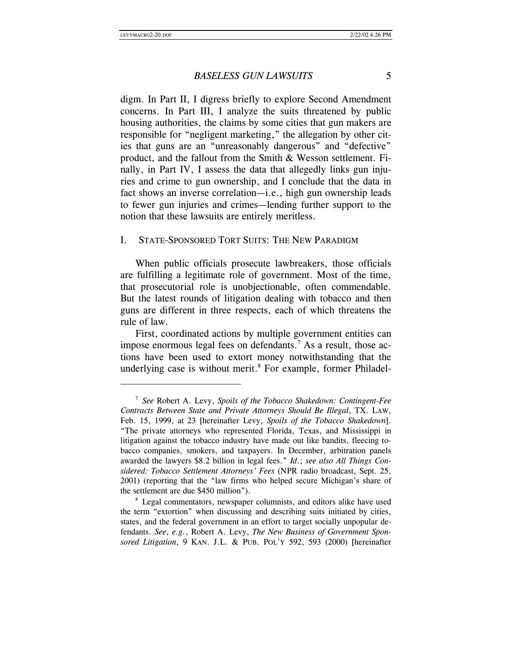#### *BASELESS GUN LAWSUITS* 5

digm. In Part II, I digress briefly to explore Second Amendment concerns. In Part III, I analyze the suits threatened by public housing authorities, the claims by some cities that gun makers are responsible for "negligent marketing," the allegation by other cities that guns are an "unreasonably dangerous" and "defective" product, and the fallout from the Smith & Wesson settlement. Finally, in Part IV, I assess the data that allegedly links gun injuries and crime to gun ownership, and I conclude that the data in fact shows an inverse correlation—i.e., high gun ownership leads to fewer gun injuries and crimes—lending further support to the notion that these lawsuits are entirely meritless.

#### I. STATE-SPONSORED TORT SUITS: THE NEW PARADIGM

When public officials prosecute lawbreakers, those officials are fulfilling a legitimate role of government. Most of the time, that prosecutorial role is unobjectionable, often commendable. But the latest rounds of litigation dealing with tobacco and then guns are different in three respects, each of which threatens the rule of law.

First, coordinated actions by multiple government entities can impose enormous legal fees on defendants.<sup>7</sup> As a result, those actions have been used to extort money notwithstanding that the underlying case is without merit.<sup>8</sup> For example, former Philadel-

<sup>7</sup> *See* Robert A. Levy, *Spoils of the Tobacco Shakedown: Contingent-Fee Contracts Between State and Private Attorneys Should Be Illegal*, TX. LAW, Feb. 15, 1999, at 23 [hereinafter Levy, *Spoils of the Tobacco Shakedown*]. "The private attorneys who represented Florida, Texas, and Mississippi in litigation against the tobacco industry have made out like bandits, fleecing tobacco companies, smokers, and taxpayers. In December, arbitration panels awarded the lawyers \$8.2 billion in legal fees." *Id*.; *see also All Things Considered: Tobacco Settlement Attorneys' Fees* (NPR radio broadcast, Sept. 25, 2001) (reporting that the "law firms who helped secure Michigan's share of the settlement are due \$450 million").<br><sup>8</sup> Legal commentators, newspaper columnists, and editors alike have used

the term "extortion" when discussing and describing suits initiated by cities, states, and the federal government in an effort to target socially unpopular defendants. *See*, *e.g.*, Robert A. Levy, *The New Business of Government Sponsored Litigation*, 9 KAN. J.L. & PUB. POL'Y 592, 593 (2000) [hereinafter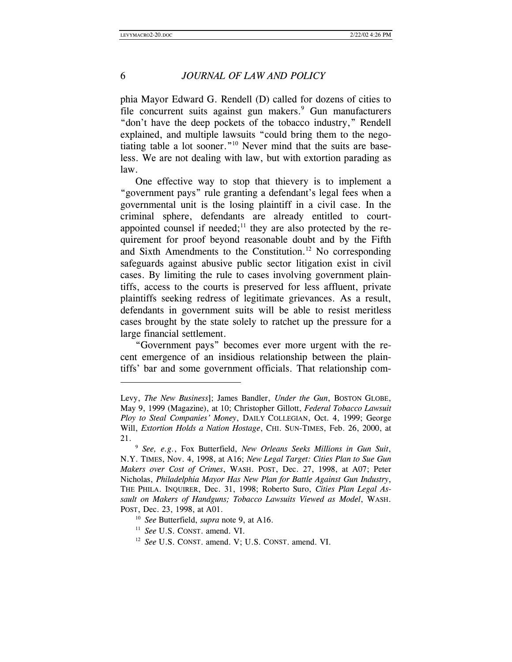l

#### 6 *JOURNAL OF LAW AND POLICY*

phia Mayor Edward G. Rendell (D) called for dozens of cities to file concurrent suits against gun makers.<sup>9</sup> Gun manufacturers "don't have the deep pockets of the tobacco industry," Rendell explained, and multiple lawsuits "could bring them to the negotiating table a lot sooner."10 Never mind that the suits are baseless. We are not dealing with law, but with extortion parading as law.

One effective way to stop that thievery is to implement a "government pays" rule granting a defendant's legal fees when a governmental unit is the losing plaintiff in a civil case. In the criminal sphere, defendants are already entitled to courtappointed counsel if needed;<sup>11</sup> they are also protected by the requirement for proof beyond reasonable doubt and by the Fifth and Sixth Amendments to the Constitution.<sup>12</sup> No corresponding safeguards against abusive public sector litigation exist in civil cases. By limiting the rule to cases involving government plaintiffs, access to the courts is preserved for less affluent, private plaintiffs seeking redress of legitimate grievances. As a result, defendants in government suits will be able to resist meritless cases brought by the state solely to ratchet up the pressure for a large financial settlement.

"Government pays" becomes ever more urgent with the recent emergence of an insidious relationship between the plaintiffs' bar and some government officials. That relationship com-

Levy, *The New Business*]; James Bandler, *Under the Gun*, BOSTON GLOBE, May 9, 1999 (Magazine), at 10; Christopher Gillott, *Federal Tobacco Lawsuit Ploy to Steal Companies' Money*, DAILY COLLEGIAN, Oct. 4, 1999; George Will, *Extortion Holds a Nation Hostage*, CHI. SUN-TIMES, Feb. 26, 2000, at 21. 9 *See, e.g.*, Fox Butterfield, *New Orleans Seeks Millions in Gun Suit*,

N.Y. TIMES, Nov. 4, 1998, at A16; *New Legal Target: Cities Plan to Sue Gun Makers over Cost of Crimes*, WASH. POST, Dec. 27, 1998, at A07; Peter Nicholas, *Philadelphia Mayor Has New Plan for Battle Against Gun Industry*, THE PHILA. INQUIRER, Dec. 31, 1998; Roberto Suro, *Cities Plan Legal Assault on Makers of Handguns; Tobacco Lawsuits Viewed as Model*, WASH. POST, Dec. 23, 1998, at A01.

<sup>10</sup> *See* Butterfield, *supra* note 9, at A16. 11 *See* U.S. CONST. amend. VI.

<sup>12</sup> *See* U.S. CONST. amend. V; U.S. CONST. amend. VI.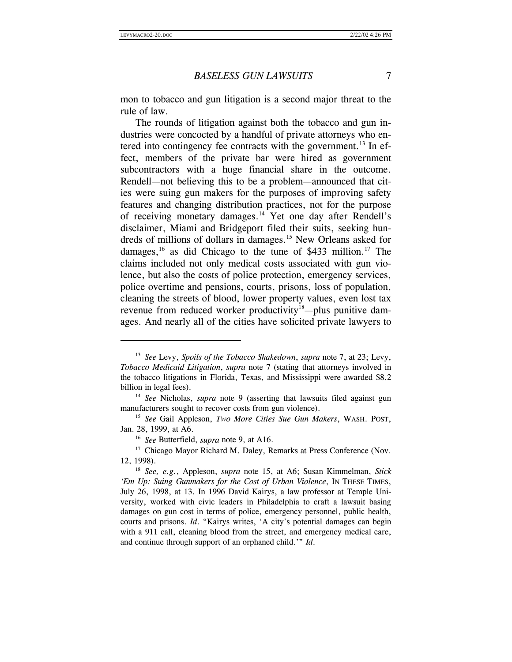#### *BASELESS GUN LAWSUITS* 7

mon to tobacco and gun litigation is a second major threat to the rule of law.

The rounds of litigation against both the tobacco and gun industries were concocted by a handful of private attorneys who entered into contingency fee contracts with the government.<sup>13</sup> In effect, members of the private bar were hired as government subcontractors with a huge financial share in the outcome. Rendell—not believing this to be a problem—announced that cities were suing gun makers for the purposes of improving safety features and changing distribution practices, not for the purpose of receiving monetary damages.14 Yet one day after Rendell's disclaimer, Miami and Bridgeport filed their suits, seeking hundreds of millions of dollars in damages.15 New Orleans asked for damages,<sup>16</sup> as did Chicago to the tune of \$433 million.<sup>17</sup> The claims included not only medical costs associated with gun violence, but also the costs of police protection, emergency services, police overtime and pensions, courts, prisons, loss of population, cleaning the streets of blood, lower property values, even lost tax revenue from reduced worker productivity<sup>18</sup>—plus punitive damages. And nearly all of the cities have solicited private lawyers to

<sup>13</sup> *See* Levy, *Spoils of the Tobacco Shakedown*, *supra* note 7, at 23; Levy, *Tobacco Medicaid Litigation*, *supra* note 7 (stating that attorneys involved in the tobacco litigations in Florida, Texas, and Mississippi were awarded \$8.2 billion in legal fees).<br><sup>14</sup> *See* Nicholas, *supra* note 9 (asserting that lawsuits filed against gun

manufacturers sought to recover costs from gun violence).

<sup>15</sup> *See* Gail Appleson, *Two More Cities Sue Gun Makers*, WASH. POST, Jan. 28, 1999, at A6.

<sup>16</sup> *See* Butterfield, *supra* note 9, at A16.

<sup>&</sup>lt;sup>17</sup> Chicago Mayor Richard M. Daley, Remarks at Press Conference (Nov.

<sup>12, 1998). 18</sup> *See, e.g.*, Appleson, *supra* note 15, at A6; Susan Kimmelman, *Stick 'Em Up: Suing Gunmakers for the Cost of Urban Violence*, IN THESE TIMES, July 26, 1998, at 13. In 1996 David Kairys, a law professor at Temple University, worked with civic leaders in Philadelphia to craft a lawsuit basing damages on gun cost in terms of police, emergency personnel, public health, courts and prisons. *Id*. "Kairys writes, 'A city's potential damages can begin with a 911 call, cleaning blood from the street, and emergency medical care, and continue through support of an orphaned child.'" *Id*.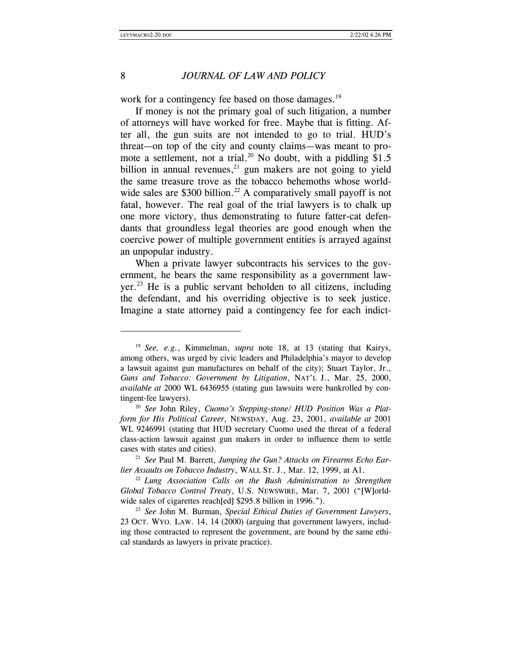#### 8 *JOURNAL OF LAW AND POLICY*

work for a contingency fee based on those damages.<sup>19</sup>

If money is not the primary goal of such litigation, a number of attorneys will have worked for free. Maybe that is fitting. After all, the gun suits are not intended to go to trial. HUD's threat—on top of the city and county claims—was meant to promote a settlement, not a trial.<sup>20</sup> No doubt, with a piddling \$1.5 billion in annual revenues, $21$  gun makers are not going to yield the same treasure trove as the tobacco behemoths whose worldwide sales are \$300 billion.<sup>22</sup> A comparatively small payoff is not fatal, however. The real goal of the trial lawyers is to chalk up one more victory, thus demonstrating to future fatter-cat defendants that groundless legal theories are good enough when the coercive power of multiple government entities is arrayed against an unpopular industry.

When a private lawyer subcontracts his services to the government, he bears the same responsibility as a government law- $\chi$  yer.<sup>23</sup> He is a public servant beholden to all citizens, including the defendant, and his overriding objective is to seek justice. Imagine a state attorney paid a contingency fee for each indict-

<sup>19</sup> *See, e.g.*, Kimmelman, *supra* note 18, at 13 (stating that Kairys, among others, was urged by civic leaders and Philadelphia's mayor to develop a lawsuit against gun manufactures on behalf of the city); Stuart Taylor, Jr., *Guns and Tobacco: Government by Litigation*, NAT'L J., Mar. 25, 2000, *available at* 2000 WL 6436955 (stating gun lawsuits were bankrolled by contingent-fee lawyers).

<sup>20</sup> *See* John Riley, *Cuomo's Stepping-stone/ HUD Position Was a Platform for His Political Career*, NEWSDAY, Aug. 23, 2001, *available at* 2001 WL 9246991 (stating that HUD secretary Cuomo used the threat of a federal class-action lawsuit against gun makers in order to influence them to settle cases with states and cities).

<sup>21</sup> *See* Paul M. Barrett, *Jumping the Gun? Attacks on Firearms Echo Earlier Assaults on Tobacco Industry*, WALL ST. J., Mar. 12, 1999, at A1.

<sup>22</sup> *Lung Association Calls on the Bush Administration to Strengthen Global Tobacco Control Treaty*, U.S. NEWSWIRE, Mar. 7, 2001 ("[W]orldwide sales of cigarettes reach[ed] \$295.8 billion in 1996.").<br><sup>23</sup> *See* John M. Burman, *Special Ethical Duties of Government Lawyers*,

<sup>23</sup> OCT. WYO. LAW. 14, 14 (2000) (arguing that government lawyers, including those contracted to represent the government, are bound by the same ethical standards as lawyers in private practice).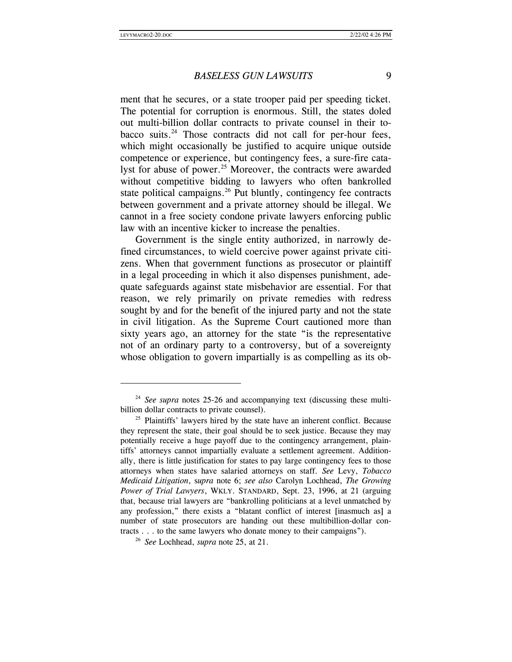#### *BASELESS GUN LAWSUITS* 9

ment that he secures, or a state trooper paid per speeding ticket. The potential for corruption is enormous. Still, the states doled out multi-billion dollar contracts to private counsel in their tobacco suits.<sup>24</sup> Those contracts did not call for per-hour fees, which might occasionally be justified to acquire unique outside competence or experience, but contingency fees, a sure-fire catalyst for abuse of power.<sup>25</sup> Moreover, the contracts were awarded without competitive bidding to lawyers who often bankrolled state political campaigns. $26$  Put bluntly, contingency fee contracts between government and a private attorney should be illegal. We cannot in a free society condone private lawyers enforcing public law with an incentive kicker to increase the penalties.

Government is the single entity authorized, in narrowly defined circumstances, to wield coercive power against private citizens. When that government functions as prosecutor or plaintiff in a legal proceeding in which it also dispenses punishment, adequate safeguards against state misbehavior are essential. For that reason, we rely primarily on private remedies with redress sought by and for the benefit of the injured party and not the state in civil litigation. As the Supreme Court cautioned more than sixty years ago, an attorney for the state "is the representative not of an ordinary party to a controversy, but of a sovereignty whose obligation to govern impartially is as compelling as its ob-

<sup>&</sup>lt;sup>24</sup> *See supra* notes 25-26 and accompanying text (discussing these multibillion dollar contracts to private counsel).<br><sup>25</sup> Plaintiffs' lawyers hired by the state have an inherent conflict. Because

they represent the state, their goal should be to seek justice. Because they may potentially receive a huge payoff due to the contingency arrangement, plaintiffs' attorneys cannot impartially evaluate a settlement agreement. Additionally, there is little justification for states to pay large contingency fees to those attorneys when states have salaried attorneys on staff. *See* Levy, *Tobacco Medicaid Litigation*, s*upra* note 6; *see also* Carolyn Lochhead, *The Growing Power of Trial Lawyers*, WKLY. STANDARD, Sept. 23, 1996, at 21 (arguing that, because trial lawyers are "bankrolling politicians at a level unmatched by any profession," there exists a "blatant conflict of interest [inasmuch as] a number of state prosecutors are handing out these multibillion-dollar contracts . . . to the same lawyers who donate money to their campaigns"). 26 *See* Lochhead, *supra* note 25, at 21.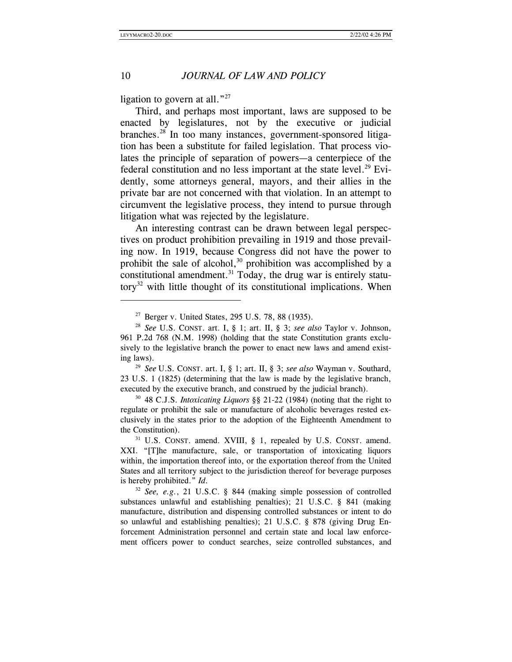# 10 *JOURNAL OF LAW AND POLICY*

ligation to govern at all."<sup>27</sup>

Third, and perhaps most important, laws are supposed to be enacted by legislatures, not by the executive or judicial branches.28 In too many instances, government-sponsored litigation has been a substitute for failed legislation. That process violates the principle of separation of powers—a centerpiece of the federal constitution and no less important at the state level.<sup>29</sup> Evidently, some attorneys general, mayors, and their allies in the private bar are not concerned with that violation. In an attempt to circumvent the legislative process, they intend to pursue through litigation what was rejected by the legislature.

An interesting contrast can be drawn between legal perspectives on product prohibition prevailing in 1919 and those prevailing now. In 1919, because Congress did not have the power to prohibit the sale of alcohol, $30$  prohibition was accomplished by a constitutional amendment.<sup>31</sup> Today, the drug war is entirely statu $t$ tory<sup>32</sup> with little thought of its constitutional implications. When

ing laws). 29 *See* U.S. CONST. art. I, § 1; art. II, § 3; *see also* Wayman v. Southard, 23 U.S. 1 (1825) (determining that the law is made by the legislative branch, executed by the executive branch, and construed by the judicial branch).

<sup>30</sup> 48 C.J.S. *Intoxicating Liquors* §§ 21-22 (1984) (noting that the right to regulate or prohibit the sale or manufacture of alcoholic beverages rested exclusively in the states prior to the adoption of the Eighteenth Amendment to the Constitution).

<sup>27</sup> Berger v. United States, 295 U.S. 78, 88 (1935). 28 *See* U.S. CONST. art. I, § 1; art. II, § 3; *see also* Taylor v. Johnson, 961 P.2d 768 (N.M. 1998) (holding that the state Constitution grants exclusively to the legislative branch the power to enact new laws and amend exist-

<sup>&</sup>lt;sup>31</sup> U.S. CONST. amend. XVIII, § 1, repealed by U.S. CONST. amend. XXI. "[T]he manufacture, sale, or transportation of intoxicating liquors within, the importation thereof into, or the exportation thereof from the United States and all territory subject to the jurisdiction thereof for beverage purposes is hereby prohibited." *Id*.

<sup>32</sup> *See, e.g.*, 21 U.S.C. § 844 (making simple possession of controlled substances unlawful and establishing penalties); 21 U.S.C. § 841 (making manufacture, distribution and dispensing controlled substances or intent to do so unlawful and establishing penalties); 21 U.S.C. § 878 (giving Drug Enforcement Administration personnel and certain state and local law enforcement officers power to conduct searches, seize controlled substances, and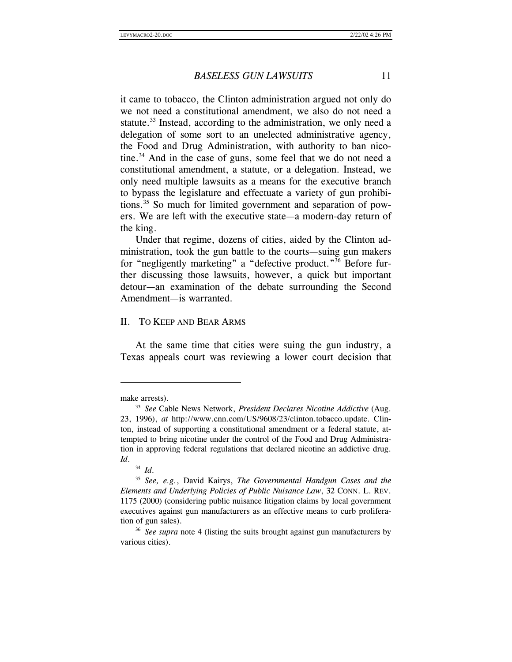it came to tobacco, the Clinton administration argued not only do we not need a constitutional amendment, we also do not need a statute.<sup>33</sup> Instead, according to the administration, we only need a delegation of some sort to an unelected administrative agency, the Food and Drug Administration, with authority to ban nicotine.<sup>34</sup> And in the case of guns, some feel that we do not need a constitutional amendment, a statute, or a delegation. Instead, we only need multiple lawsuits as a means for the executive branch to bypass the legislature and effectuate a variety of gun prohibitions.35 So much for limited government and separation of powers. We are left with the executive state—a modern-day return of the king.

Under that regime, dozens of cities, aided by the Clinton administration, took the gun battle to the courts—suing gun makers for "negligently marketing" a "defective product."36 Before further discussing those lawsuits, however, a quick but important detour—an examination of the debate surrounding the Second Amendment—is warranted.

#### II. TO KEEP AND BEAR ARMS

At the same time that cities were suing the gun industry, a Texas appeals court was reviewing a lower court decision that

make arrests).

<sup>33</sup> *See* Cable News Network, *President Declares Nicotine Addictive* (Aug. 23, 1996), *at* http://www.cnn.com/US/9608/23/clinton.tobacco.update. Clinton, instead of supporting a constitutional amendment or a federal statute, attempted to bring nicotine under the control of the Food and Drug Administration in approving federal regulations that declared nicotine an addictive drug. *Id*. 34 *Id*. 35 *See, e.g.*, David Kairys, *The Governmental Handgun Cases and the* 

*Elements and Underlying Policies of Public Nuisance Law*, 32 CONN. L. REV. 1175 (2000) (considering public nuisance litigation claims by local government executives against gun manufacturers as an effective means to curb proliferation of gun sales).

<sup>36</sup> *See supra* note 4 (listing the suits brought against gun manufacturers by various cities).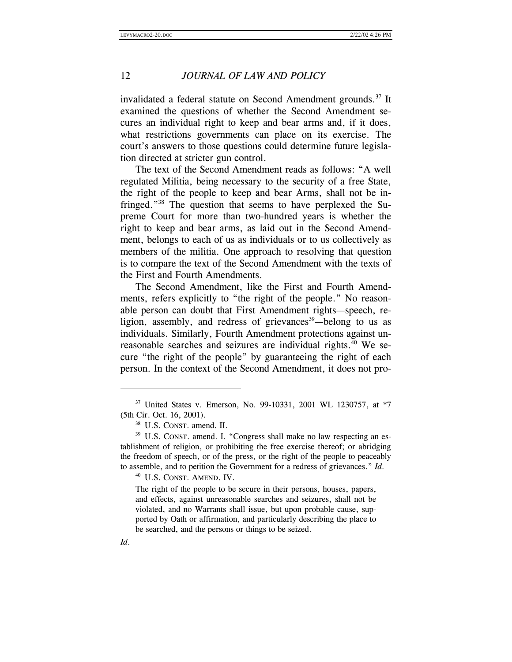invalidated a federal statute on Second Amendment grounds.<sup>37</sup> It examined the questions of whether the Second Amendment secures an individual right to keep and bear arms and, if it does, what restrictions governments can place on its exercise. The court's answers to those questions could determine future legislation directed at stricter gun control.

The text of the Second Amendment reads as follows: "A well regulated Militia, being necessary to the security of a free State, the right of the people to keep and bear Arms, shall not be infringed."38 The question that seems to have perplexed the Supreme Court for more than two-hundred years is whether the right to keep and bear arms, as laid out in the Second Amendment, belongs to each of us as individuals or to us collectively as members of the militia. One approach to resolving that question is to compare the text of the Second Amendment with the texts of the First and Fourth Amendments.

The Second Amendment, like the First and Fourth Amendments, refers explicitly to "the right of the people." No reasonable person can doubt that First Amendment rights—speech, religion, assembly, and redress of grievances<sup>39</sup>—belong to us as individuals. Similarly, Fourth Amendment protections against unreasonable searches and seizures are individual rights.<sup>40</sup> We secure "the right of the people" by guaranteeing the right of each person. In the context of the Second Amendment, it does not pro-

<sup>40</sup> U.S. CONST. AMEND. IV.

The right of the people to be secure in their persons, houses, papers, and effects, against unreasonable searches and seizures, shall not be violated, and no Warrants shall issue, but upon probable cause, supported by Oath or affirmation, and particularly describing the place to be searched, and the persons or things to be seized.

<sup>37</sup> United States v. Emerson, No. 99-10331, 2001 WL 1230757, at \*7 (5th Cir. Oct. 16, 2001). 38 U.S. CONST. amend. II.

<sup>&</sup>lt;sup>39</sup> U.S. CONST. amend. I. "Congress shall make no law respecting an establishment of religion, or prohibiting the free exercise thereof; or abridging the freedom of speech, or of the press, or the right of the people to peaceably to assemble, and to petition the Government for a redress of grievances." *Id*.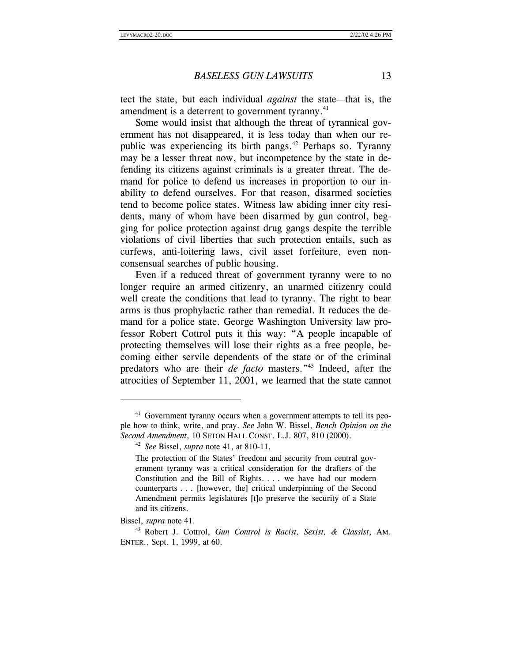tect the state, but each individual *against* the state—that is, the amendment is a deterrent to government tyranny.<sup>41</sup>

Some would insist that although the threat of tyrannical government has not disappeared, it is less today than when our republic was experiencing its birth pangs.<sup>42</sup> Perhaps so. Tyranny may be a lesser threat now, but incompetence by the state in defending its citizens against criminals is a greater threat. The demand for police to defend us increases in proportion to our inability to defend ourselves. For that reason, disarmed societies tend to become police states. Witness law abiding inner city residents, many of whom have been disarmed by gun control, begging for police protection against drug gangs despite the terrible violations of civil liberties that such protection entails, such as curfews, anti-loitering laws, civil asset forfeiture, even nonconsensual searches of public housing.

Even if a reduced threat of government tyranny were to no longer require an armed citizenry, an unarmed citizenry could well create the conditions that lead to tyranny. The right to bear arms is thus prophylactic rather than remedial. It reduces the demand for a police state. George Washington University law professor Robert Cottrol puts it this way: "A people incapable of protecting themselves will lose their rights as a free people, becoming either servile dependents of the state or of the criminal predators who are their *de facto* masters."43 Indeed, after the atrocities of September 11, 2001, we learned that the state cannot

<sup>&</sup>lt;sup>41</sup> Government tyranny occurs when a government attempts to tell its people how to think, write, and pray. *See* John W. Bissel, *Bench Opinion on the Second Amendment*, 10 SETON HALL CONST. L.J. 807, 810 (2000). 42 *See* Bissel, *supra* note 41, at 810-11.

The protection of the States' freedom and security from central government tyranny was a critical consideration for the drafters of the Constitution and the Bill of Rights. . . . we have had our modern counterparts . . . [however, the] critical underpinning of the Second Amendment permits legislatures [t]o preserve the security of a State and its citizens.

Bissel, *supra* note 41.

<sup>43</sup> Robert J. Cottrol, *Gun Control is Racist, Sexist, & Classist*, AM. ENTER., Sept. 1, 1999, at 60.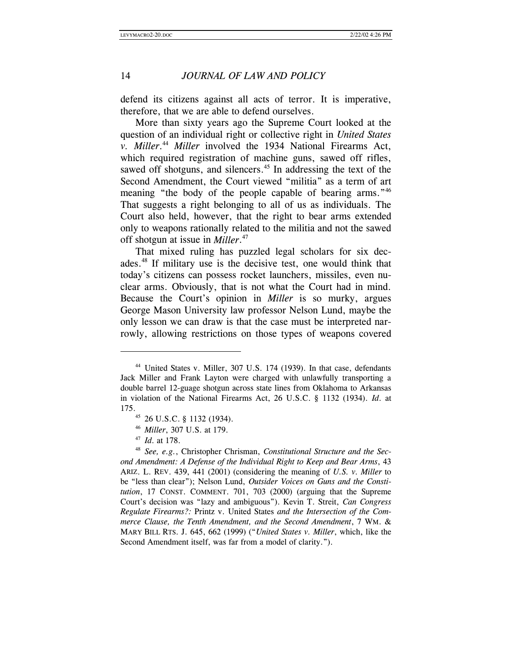defend its citizens against all acts of terror. It is imperative, therefore, that we are able to defend ourselves.

More than sixty years ago the Supreme Court looked at the question of an individual right or collective right in *United States v. Miller*. <sup>44</sup> *Miller* involved the 1934 National Firearms Act, which required registration of machine guns, sawed off rifles, sawed off shotguns, and silencers.<sup>45</sup> In addressing the text of the Second Amendment, the Court viewed "militia" as a term of art meaning "the body of the people capable of bearing arms."<sup>46</sup> That suggests a right belonging to all of us as individuals. The Court also held, however, that the right to bear arms extended only to weapons rationally related to the militia and not the sawed off shotgun at issue in *Miller*. 47

That mixed ruling has puzzled legal scholars for six decades.<sup>48</sup> If military use is the decisive test, one would think that today's citizens can possess rocket launchers, missiles, even nuclear arms. Obviously, that is not what the Court had in mind. Because the Court's opinion in *Miller* is so murky, argues George Mason University law professor Nelson Lund, maybe the only lesson we can draw is that the case must be interpreted narrowly, allowing restrictions on those types of weapons covered

<sup>&</sup>lt;sup>44</sup> United States v. Miller, 307 U.S. 174 (1939). In that case, defendants Jack Miller and Frank Layton were charged with unlawfully transporting a double barrel 12-guage shotgun across state lines from Oklahoma to Arkansas in violation of the National Firearms Act, 26 U.S.C. § 1132 (1934). *Id*. at 175. 45 26 U.S.C. § 1132 (1934).

<sup>46</sup> *Miller*, 307 U.S. at 179. 47 *Id*. at 178.

<sup>48</sup> *See, e.g.*, Christopher Chrisman, *Constitutional Structure and the Second Amendment: A Defense of the Individual Right to Keep and Bear Arms*, 43 ARIZ. L. REV. 439, 441 (2001) (considering the meaning of *U.S. v. Miller* to be "less than clear"); Nelson Lund, *Outsider Voices on Guns and the Constitution*, 17 CONST. COMMENT. 701, 703 (2000) (arguing that the Supreme Court's decision was "lazy and ambiguous"). Kevin T. Streit, *Can Congress Regulate Firearms?:* Printz v. United States *and the Intersection of the Commerce Clause, the Tenth Amendment, and the Second Amendment*, 7 WM. & MARY BILL RTS. J. 645, 662 (1999) ("*United States v. Miller*, which, like the Second Amendment itself, was far from a model of clarity.").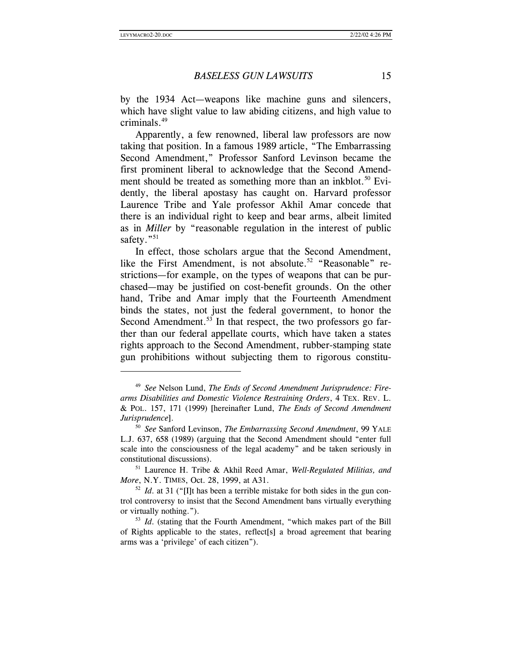#### *BASELESS GUN LAWSUITS* 15

by the 1934 Act—weapons like machine guns and silencers, which have slight value to law abiding citizens, and high value to criminals.49

Apparently, a few renowned, liberal law professors are now taking that position. In a famous 1989 article, "The Embarrassing Second Amendment," Professor Sanford Levinson became the first prominent liberal to acknowledge that the Second Amendment should be treated as something more than an inkblot.<sup>50</sup> Evidently, the liberal apostasy has caught on. Harvard professor Laurence Tribe and Yale professor Akhil Amar concede that there is an individual right to keep and bear arms, albeit limited as in *Miller* by "reasonable regulation in the interest of public safety."<sup>51</sup>

In effect, those scholars argue that the Second Amendment, like the First Amendment, is not absolute.<sup>52</sup> "Reasonable" restrictions—for example, on the types of weapons that can be purchased—may be justified on cost-benefit grounds. On the other hand, Tribe and Amar imply that the Fourteenth Amendment binds the states, not just the federal government, to honor the Second Amendment.<sup>53</sup> In that respect, the two professors go farther than our federal appellate courts, which have taken a states rights approach to the Second Amendment, rubber-stamping state gun prohibitions without subjecting them to rigorous constitu-

<sup>49</sup> *See* Nelson Lund, *The Ends of Second Amendment Jurisprudence: Firearms Disabilities and Domestic Violence Restraining Orders*, 4 TEX. REV. L. & POL. 157, 171 (1999) [hereinafter Lund, *The Ends of Second Amendment Jurisprudence*].<br><sup>50</sup> *See* Sanford Levinson, *The Embarrassing Second Amendment*, 99 YALE

L.J. 637, 658 (1989) (arguing that the Second Amendment should "enter full scale into the consciousness of the legal academy" and be taken seriously in constitutional discussions).

<sup>51</sup> Laurence H. Tribe & Akhil Reed Amar, *Well-Regulated Militias, and More*, N.Y. TIMES, Oct. 28, 1999, at A31.<br><sup>52</sup> *Id*. at 31 ("[I]t has been a terrible mistake for both sides in the gun con-

trol controversy to insist that the Second Amendment bans virtually everything or virtually nothing.").

<sup>&</sup>lt;sup>53</sup> *Id.* (stating that the Fourth Amendment, "which makes part of the Bill of Rights applicable to the states, reflect[s] a broad agreement that bearing arms was a 'privilege' of each citizen").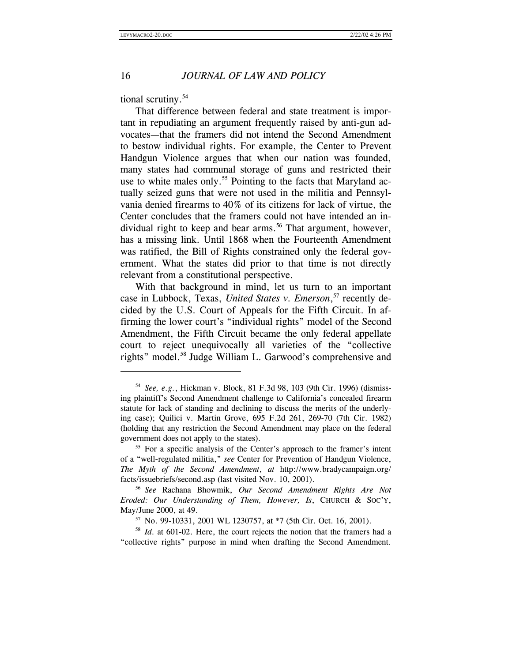tional scrutiny.<sup>54</sup>

That difference between federal and state treatment is important in repudiating an argument frequently raised by anti-gun advocates—that the framers did not intend the Second Amendment to bestow individual rights. For example, the Center to Prevent Handgun Violence argues that when our nation was founded, many states had communal storage of guns and restricted their use to white males only.<sup>55</sup> Pointing to the facts that Maryland actually seized guns that were not used in the militia and Pennsylvania denied firearms to 40% of its citizens for lack of virtue, the Center concludes that the framers could not have intended an individual right to keep and bear arms.<sup>56</sup> That argument, however, has a missing link. Until 1868 when the Fourteenth Amendment was ratified, the Bill of Rights constrained only the federal government. What the states did prior to that time is not directly relevant from a constitutional perspective.

With that background in mind, let us turn to an important case in Lubbock, Texas, *United States v. Emerson*, 57 recently decided by the U.S. Court of Appeals for the Fifth Circuit. In affirming the lower court's "individual rights" model of the Second Amendment, the Fifth Circuit became the only federal appellate court to reject unequivocally all varieties of the "collective rights" model.58 Judge William L. Garwood's comprehensive and

<sup>58</sup> *Id*. at 601-02. Here, the court rejects the notion that the framers had a "collective rights" purpose in mind when drafting the Second Amendment.

<sup>54</sup> *See, e.g.*, Hickman v. Block, 81 F.3d 98, 103 (9th Cir. 1996) (dismissing plaintiff's Second Amendment challenge to California's concealed firearm statute for lack of standing and declining to discuss the merits of the underlying case); Quilici v. Martin Grove, 695 F.2d 261, 269-70 (7th Cir. 1982) (holding that any restriction the Second Amendment may place on the federal government does not apply to the states).

<sup>&</sup>lt;sup>55</sup> For a specific analysis of the Center's approach to the framer's intent of a "well-regulated militia," *see* Center for Prevention of Handgun Violence, *The Myth of the Second Amendment*, *at* http://www.bradycampaign.org/ facts/issuebriefs/second.asp (last visited Nov. 10, 2001). 56 *See* Rachana Bhowmik, *Our Second Amendment Rights Are Not* 

*Eroded: Our Understanding of Them, However, Is*, CHURCH & SOC'Y, May/June 2000, at 49.<br><sup>57</sup> No. 99-10331, 2001 WL 1230757, at \*7 (5th Cir. Oct. 16, 2001).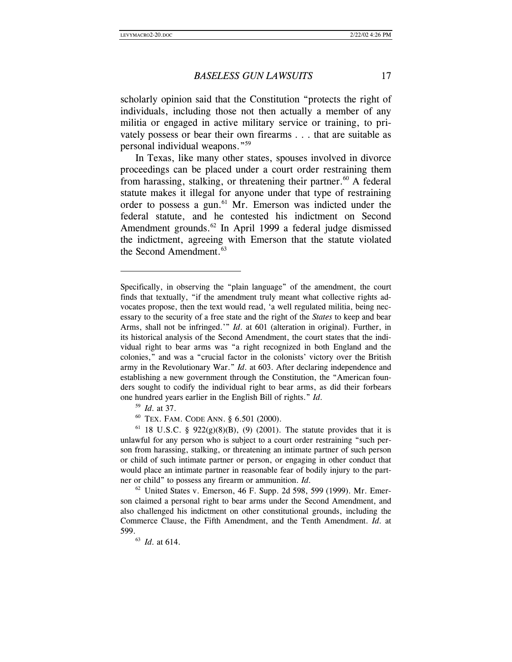scholarly opinion said that the Constitution "protects the right of individuals, including those not then actually a member of any militia or engaged in active military service or training, to privately possess or bear their own firearms . . . that are suitable as personal individual weapons."59

In Texas, like many other states, spouses involved in divorce proceedings can be placed under a court order restraining them from harassing, stalking, or threatening their partner.<sup>60</sup> A federal statute makes it illegal for anyone under that type of restraining order to possess a gun.<sup>61</sup> Mr. Emerson was indicted under the federal statute, and he contested his indictment on Second Amendment grounds. $62$  In April 1999 a federal judge dismissed the indictment, agreeing with Emerson that the statute violated the Second Amendment.<sup>63</sup>

 $\overline{a}$ 

<sup>59</sup> *Id.* at 37.<br><sup>60</sup> TEX. FAM. CODE ANN. § 6.501 (2000).

<sup>61</sup> 18 U.S.C. § 922(g)(8)(B), (9) (2001). The statute provides that it is unlawful for any person who is subject to a court order restraining "such person from harassing, stalking, or threatening an intimate partner of such person or child of such intimate partner or person, or engaging in other conduct that would place an intimate partner in reasonable fear of bodily injury to the partner or child" to possess any firearm or ammunition. *Id*.

 $62$  United States v. Emerson, 46 F. Supp. 2d 598, 599 (1999). Mr. Emerson claimed a personal right to bear arms under the Second Amendment, and also challenged his indictment on other constitutional grounds, including the Commerce Clause, the Fifth Amendment, and the Tenth Amendment. *Id*. at 599.  $^{63}$  *Id.* at 614.

Specifically, in observing the "plain language" of the amendment, the court finds that textually, "if the amendment truly meant what collective rights advocates propose, then the text would read, 'a well regulated militia, being necessary to the security of a free state and the right of the *States* to keep and bear Arms, shall not be infringed.'" *Id*. at 601 (alteration in original). Further, in its historical analysis of the Second Amendment, the court states that the individual right to bear arms was "a right recognized in both England and the colonies," and was a "crucial factor in the colonists' victory over the British army in the Revolutionary War." *Id*. at 603. After declaring independence and establishing a new government through the Constitution, the "American founders sought to codify the individual right to bear arms, as did their forbears one hundred years earlier in the English Bill of rights." *Id*.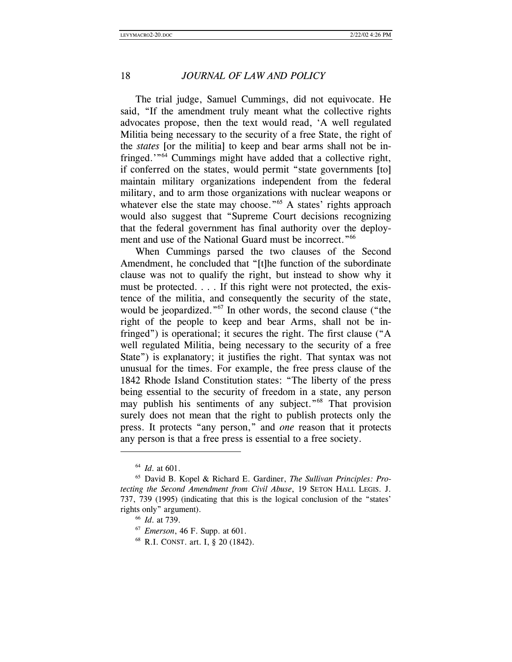The trial judge, Samuel Cummings, did not equivocate. He said, "If the amendment truly meant what the collective rights advocates propose, then the text would read, 'A well regulated Militia being necessary to the security of a free State, the right of the *states* [or the militia] to keep and bear arms shall not be infringed.'"64 Cummings might have added that a collective right, if conferred on the states, would permit "state governments [to] maintain military organizations independent from the federal military, and to arm those organizations with nuclear weapons or whatever else the state may choose."<sup>65</sup> A states' rights approach would also suggest that "Supreme Court decisions recognizing that the federal government has final authority over the deployment and use of the National Guard must be incorrect."<sup>66</sup>

When Cummings parsed the two clauses of the Second Amendment, he concluded that "[t]he function of the subordinate clause was not to qualify the right, but instead to show why it must be protected. . . . If this right were not protected, the existence of the militia, and consequently the security of the state, would be jeopardized."<sup>67</sup> In other words, the second clause ("the right of the people to keep and bear Arms, shall not be infringed") is operational; it secures the right. The first clause ("A well regulated Militia, being necessary to the security of a free State") is explanatory; it justifies the right. That syntax was not unusual for the times. For example, the free press clause of the 1842 Rhode Island Constitution states: "The liberty of the press being essential to the security of freedom in a state, any person may publish his sentiments of any subject."<sup>68</sup> That provision surely does not mean that the right to publish protects only the press. It protects "any person," and *one* reason that it protects any person is that a free press is essential to a free society.

<sup>&</sup>lt;sup>64</sup> *Id.* at 601.<br><sup>65</sup> David B. Kopel & Richard E. Gardiner, *The Sullivan Principles: Protecting the Second Amendment from Civil Abuse*, 19 SETON HALL LEGIS. J. 737, 739 (1995) (indicating that this is the logical conclusion of the "states' rights only" argument).

<sup>66</sup> *Id*. at 739.

<sup>67</sup> *Emerson*, 46 F. Supp. at 601. 68 R.I. CONST. art. I, § 20 (1842).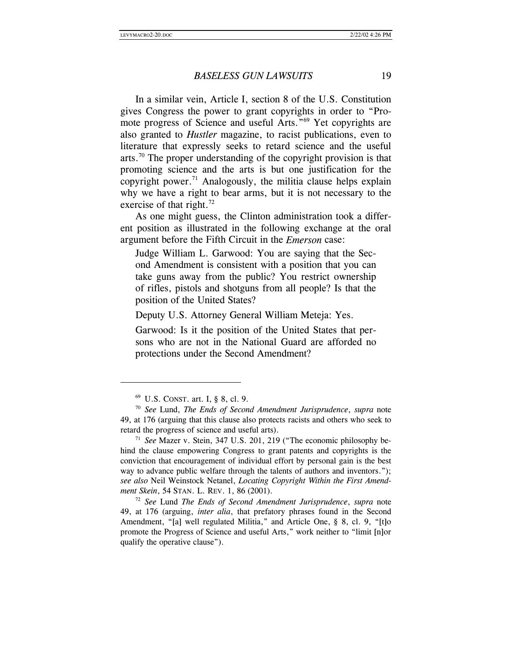In a similar vein, Article I, section 8 of the U.S. Constitution gives Congress the power to grant copyrights in order to "Promote progress of Science and useful Arts."69 Yet copyrights are also granted to *Hustler* magazine, to racist publications, even to literature that expressly seeks to retard science and the useful arts.<sup>70</sup> The proper understanding of the copyright provision is that promoting science and the arts is but one justification for the copyright power.<sup>71</sup> Analogously, the militia clause helps explain why we have a right to bear arms, but it is not necessary to the exercise of that right. $^{72}$ 

As one might guess, the Clinton administration took a different position as illustrated in the following exchange at the oral argument before the Fifth Circuit in the *Emerson* case:

Judge William L. Garwood: You are saying that the Second Amendment is consistent with a position that you can take guns away from the public? You restrict ownership of rifles, pistols and shotguns from all people? Is that the position of the United States?

Deputy U.S. Attorney General William Meteja: Yes.

Garwood: Is it the position of the United States that persons who are not in the National Guard are afforded no protections under the Second Amendment?

 $\overline{a}$ 

49, at 176 (arguing, *inter alia*, that prefatory phrases found in the Second Amendment, "[a] well regulated Militia," and Article One, § 8, cl. 9, "[t]o promote the Progress of Science and useful Arts," work neither to "limit [n]or qualify the operative clause").

<sup>69</sup> U.S. CONST. art. I, § 8, cl. 9. 70 *See* Lund, *The Ends of Second Amendment Jurisprudence*, *supra* note 49, at 176 (arguing that this clause also protects racists and others who seek to retard the progress of science and useful arts). 71 *See* Mazer v. Stein, 347 U.S. 201, 219 ("The economic philosophy be-

hind the clause empowering Congress to grant patents and copyrights is the conviction that encouragement of individual effort by personal gain is the best way to advance public welfare through the talents of authors and inventors."); *see also* Neil Weinstock Netanel, *Locating Copyright Within the First Amendment Skein*, 54 STAN. L. REV. 1, 86 (2001). 72 *See* Lund *The Ends of Second Amendment Jurisprudence*, *supra* note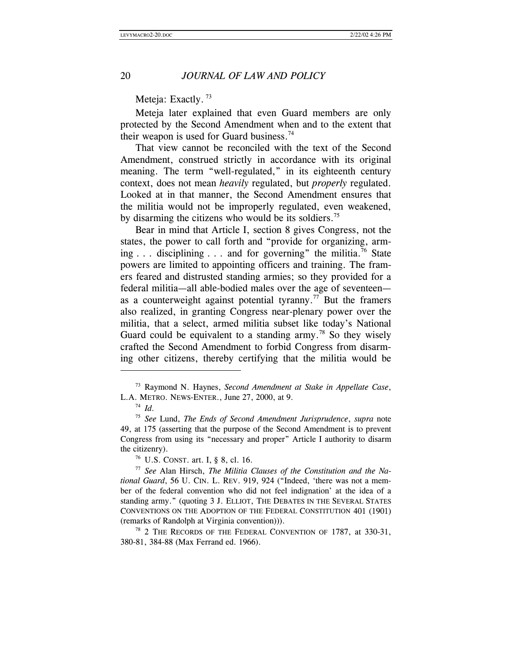Meteja: Exactly.<sup>73</sup>

Meteja later explained that even Guard members are only protected by the Second Amendment when and to the extent that their weapon is used for Guard business.<sup>74</sup>

That view cannot be reconciled with the text of the Second Amendment, construed strictly in accordance with its original meaning. The term "well-regulated," in its eighteenth century context, does not mean *heavily* regulated, but *properly* regulated. Looked at in that manner, the Second Amendment ensures that the militia would not be improperly regulated, even weakened, by disarming the citizens who would be its soldiers.<sup>75</sup>

Bear in mind that Article I, section 8 gives Congress, not the states, the power to call forth and "provide for organizing, arming  $\ldots$  disciplining  $\ldots$  and for governing" the militia.<sup>76</sup> State powers are limited to appointing officers and training. The framers feared and distrusted standing armies; so they provided for a federal militia—all able-bodied males over the age of seventeen as a counterweight against potential tyranny.<sup>77</sup> But the framers also realized, in granting Congress near-plenary power over the militia, that a select, armed militia subset like today's National Guard could be equivalent to a standing army.<sup>78</sup> So they wisely crafted the Second Amendment to forbid Congress from disarming other citizens, thereby certifying that the militia would be

 $\overline{a}$ 

<sup>78</sup> 2 THE RECORDS OF THE FEDERAL CONVENTION OF 1787, at 330-31, 380-81, 384-88 (Max Ferrand ed. 1966).

<sup>73</sup> Raymond N. Haynes, *Second Amendment at Stake in Appellate Case*, L.A. METRO. NEWS-ENTER., June 27, 2000, at 9. 74 *Id*.

<sup>75</sup> *See* Lund, *The Ends of Second Amendment Jurisprudence*, *supra* note 49, at 175 (asserting that the purpose of the Second Amendment is to prevent Congress from using its "necessary and proper" Article I authority to disarm the citizenry).<br><sup>76</sup> U.S. CONST. art. I, § 8, cl. 16.

<sup>77</sup> *See* Alan Hirsch, *The Militia Clauses of the Constitution and the National Guard*, 56 U. CIN. L. REV. 919, 924 ("Indeed, 'there was not a member of the federal convention who did not feel indignation' at the idea of a standing army." (quoting 3 J. ELLIOT, THE DEBATES IN THE SEVERAL STATES CONVENTIONS ON THE ADOPTION OF THE FEDERAL CONSTITUTION 401 (1901) (remarks of Randolph at Virginia convention))).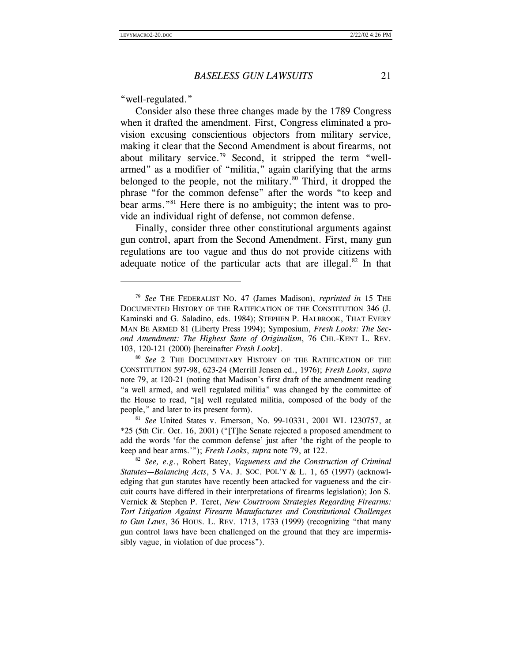"well-regulated."

 $\overline{a}$ 

Consider also these three changes made by the 1789 Congress when it drafted the amendment. First, Congress eliminated a provision excusing conscientious objectors from military service, making it clear that the Second Amendment is about firearms, not about military service.<sup>79</sup> Second, it stripped the term "wellarmed" as a modifier of "militia," again clarifying that the arms belonged to the people, not the military.<sup>80</sup> Third, it dropped the phrase "for the common defense" after the words "to keep and bear arms."<sup>81</sup> Here there is no ambiguity; the intent was to provide an individual right of defense, not common defense.

Finally, consider three other constitutional arguments against gun control, apart from the Second Amendment. First, many gun regulations are too vague and thus do not provide citizens with adequate notice of the particular acts that are illegal. $82$  In that

<sup>79</sup> *See* THE FEDERALIST NO. 47 (James Madison), *reprinted in* 15 THE DOCUMENTED HISTORY OF THE RATIFICATION OF THE CONSTITUTION 346 (J. Kaminski and G. Saladino, eds. 1984); STEPHEN P. HALBROOK, THAT EVERY MAN BE ARMED 81 (Liberty Press 1994); Symposium, *Fresh Looks: The Second Amendment: The Highest State of Originalism*, 76 CHI.-KENT L. REV. 103, 120-121 (2000) [hereinafter *Fresh Looks*].

<sup>80</sup> *See* 2 THE DOCUMENTARY HISTORY OF THE RATIFICATION OF THE CONSTITUTION 597-98, 623-24 (Merrill Jensen ed., 1976); *Fresh Looks*, *supra* note 79, at 120-21 (noting that Madison's first draft of the amendment reading "a well armed, and well regulated militia" was changed by the committee of the House to read, "[a] well regulated militia, composed of the body of the people," and later to its present form). 81 *See* United States v. Emerson, No. 99-10331, 2001 WL 1230757, at

<sup>\*25 (5</sup>th Cir. Oct. 16, 2001) ("[T]he Senate rejected a proposed amendment to add the words 'for the common defense' just after 'the right of the people to keep and bear arms.'"); *Fresh Looks*, *supra* note 79, at 122.<br><sup>82</sup> *See, e.g.*, Robert Batey, *Vagueness and the Construction of Criminal* 

*Statutes—Balancing Acts*, 5 VA. J. SOC. POL'Y & L. 1, 65 (1997) (acknowledging that gun statutes have recently been attacked for vagueness and the circuit courts have differed in their interpretations of firearms legislation); Jon S. Vernick & Stephen P. Teret, *New Courtroom Strategies Regarding Firearms: Tort Litigation Against Firearm Manufactures and Constitutional Challenges to Gun Laws*, 36 HOUS. L. REV. 1713, 1733 (1999) (recognizing "that many gun control laws have been challenged on the ground that they are impermissibly vague, in violation of due process").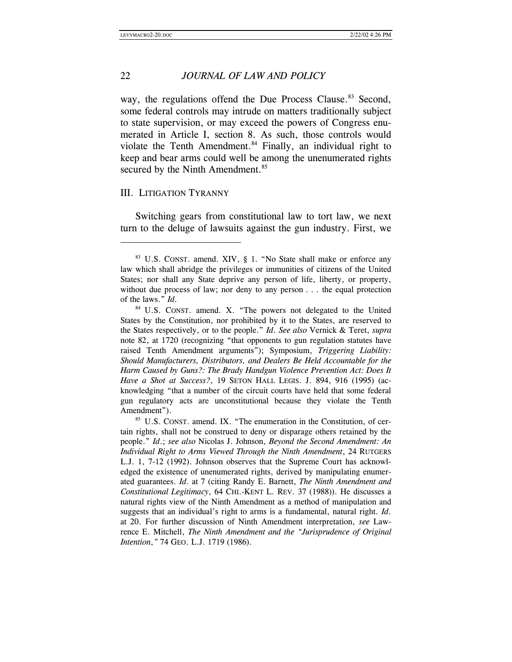way, the regulations offend the Due Process Clause.<sup>83</sup> Second, some federal controls may intrude on matters traditionally subject to state supervision, or may exceed the powers of Congress enumerated in Article I, section 8. As such, those controls would violate the Tenth Amendment. $84$  Finally, an individual right to keep and bear arms could well be among the unenumerated rights secured by the Ninth Amendment.<sup>85</sup>

#### III. LITIGATION TYRANNY

 $\overline{a}$ 

Switching gears from constitutional law to tort law, we next turn to the deluge of lawsuits against the gun industry. First, we

<sup>83</sup> U.S. CONST. amend. XIV, § 1. "No State shall make or enforce any law which shall abridge the privileges or immunities of citizens of the United States; nor shall any State deprive any person of life, liberty, or property, without due process of law; nor deny to any person . . . the equal protection of the laws." *Id*.

<sup>&</sup>lt;sup>84</sup> U.S. CONST. amend. X. "The powers not delegated to the United States by the Constitution, nor prohibited by it to the States, are reserved to the States respectively, or to the people." *Id*. *See also* Vernick & Teret, *supra* note 82, at 1720 (recognizing "that opponents to gun regulation statutes have raised Tenth Amendment arguments"); Symposium, *Triggering Liability: Should Manufacturers, Distributors, and Dealers Be Held Accountable for the Harm Caused by Guns?: The Brady Handgun Violence Prevention Act: Does It Have a Shot at Success?*, 19 SETON HALL LEGIS. J. 894, 916 (1995) (acknowledging "that a number of the circuit courts have held that some federal gun regulatory acts are unconstitutional because they violate the Tenth

Amendment").<br><sup>85</sup> U.S. CONST. amend. IX. "The enumeration in the Constitution, of certain rights, shall not be construed to deny or disparage others retained by the people." *Id*.; *see also* Nicolas J. Johnson, *Beyond the Second Amendment: An Individual Right to Arms Viewed Through the Ninth Amendment*, 24 RUTGERS L.J. 1, 7-12 (1992). Johnson observes that the Supreme Court has acknowledged the existence of unenumerated rights, derived by manipulating enumerated guarantees. *Id*. at 7 (citing Randy E. Barnett, *The Ninth Amendment and Constitutional Legitimacy*, 64 CHI.-KENT L. REV. 37 (1988)). He discusses a natural rights view of the Ninth Amendment as a method of manipulation and suggests that an individual's right to arms is a fundamental, natural right. *Id*. at 20. For further discussion of Ninth Amendment interpretation, *see* Lawrence E. Mitchell, *The Ninth Amendment and the "Jurisprudence of Original Intention*,*"* 74 GEO. L.J. 1719 (1986).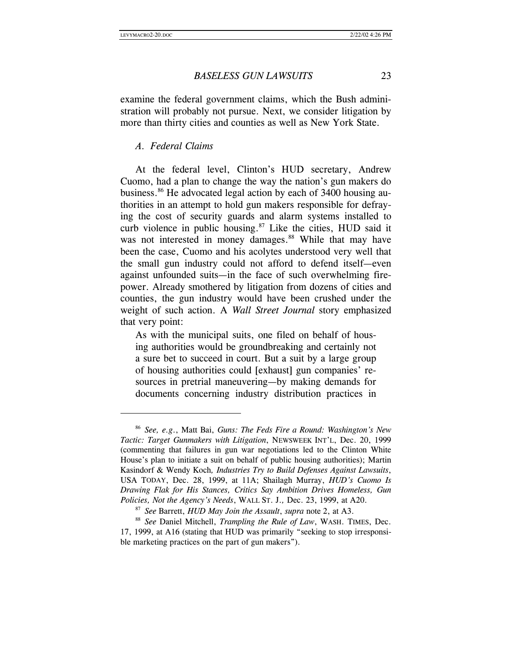#### *BASELESS GUN LAWSUITS* 23

examine the federal government claims, which the Bush administration will probably not pursue. Next, we consider litigation by more than thirty cities and counties as well as New York State.

# *A. Federal Claims*

At the federal level, Clinton's HUD secretary, Andrew Cuomo, had a plan to change the way the nation's gun makers do business.<sup>86</sup> He advocated legal action by each of 3400 housing authorities in an attempt to hold gun makers responsible for defraying the cost of security guards and alarm systems installed to curb violence in public housing. $87$  Like the cities, HUD said it was not interested in money damages.<sup>88</sup> While that may have been the case, Cuomo and his acolytes understood very well that the small gun industry could not afford to defend itself—even against unfounded suits—in the face of such overwhelming firepower. Already smothered by litigation from dozens of cities and counties, the gun industry would have been crushed under the weight of such action. A *Wall Street Journal* story emphasized that very point:

As with the municipal suits, one filed on behalf of housing authorities would be groundbreaking and certainly not a sure bet to succeed in court. But a suit by a large group of housing authorities could [exhaust] gun companies' resources in pretrial maneuvering—by making demands for documents concerning industry distribution practices in

<sup>86</sup> *See, e.g*., Matt Bai, *Guns: The Feds Fire a Round: Washington's New Tactic: Target Gunmakers with Litigation*, NEWSWEEK INT'L, Dec. 20, 1999 (commenting that failures in gun war negotiations led to the Clinton White House's plan to initiate a suit on behalf of public housing authorities); Martin Kasindorf & Wendy Koch*, Industries Try to Build Defenses Against Lawsuits*, USA TODAY, Dec. 28, 1999, at 11A; Shailagh Murray, *HUD's Cuomo Is Drawing Flak for His Stances, Critics Say Ambition Drives Homeless, Gun Policies, Not the Agency's Needs*, WALL ST. J.*,* Dec. 23, 1999, at A20.

<sup>&</sup>lt;sup>87</sup> *See Barrett, <i>HUD May Join the Assault, supra* note 2, at A3.<br><sup>88</sup> *See Daniel Mitchell, <i>Trampling the Rule of Law*, WASH. TIMES, Dec. 17, 1999, at A16 (stating that HUD was primarily "seeking to stop irresponsible marketing practices on the part of gun makers").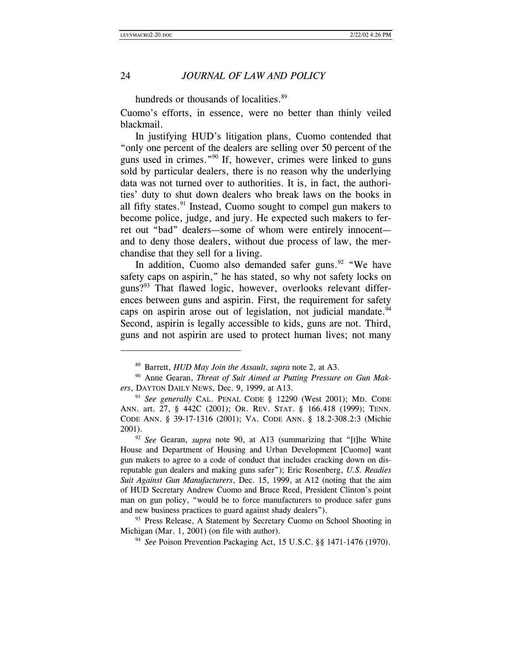$\overline{\phantom{a}}$ 

# 24 *JOURNAL OF LAW AND POLICY*

hundreds or thousands of localities.<sup>89</sup>

Cuomo's efforts, in essence, were no better than thinly veiled blackmail.

In justifying HUD's litigation plans, Cuomo contended that "only one percent of the dealers are selling over 50 percent of the guns used in crimes."90 If, however, crimes were linked to guns sold by particular dealers, there is no reason why the underlying data was not turned over to authorities. It is, in fact, the authorities' duty to shut down dealers who break laws on the books in all fifty states. $91$  Instead, Cuomo sought to compel gun makers to become police, judge, and jury. He expected such makers to ferret out "bad" dealers—some of whom were entirely innocent and to deny those dealers, without due process of law, the merchandise that they sell for a living.

In addition, Cuomo also demanded safer guns.<sup>92</sup> "We have safety caps on aspirin," he has stated, so why not safety locks on guns?<sup>93</sup> That flawed logic, however, overlooks relevant differences between guns and aspirin. First, the requirement for safety caps on aspirin arose out of legislation, not judicial mandate. $94$ Second, aspirin is legally accessible to kids, guns are not. Third, guns and not aspirin are used to protect human lives; not many

<sup>&</sup>lt;sup>89</sup> Barrett, *HUD May Join the Assault*, *supra* note 2, at A3.<br><sup>90</sup> Anne Gearan, *Threat of Suit Aimed at Putting Pressure on Gun Makers*, DAYTON DAILY NEWS, Dec. 9, 1999, at A13.<br><sup>91</sup> *See generally* CAL. PENAL CODE § 12290 (West 2001); MD. CODE

ANN. art. 27, § 442C (2001); OR. REV. STAT. § 166.418 (1999); TENN. CODE ANN. § 39-17-1316 (2001); VA. CODE ANN. § 18.2-308.2:3 (Michie 2001).

<sup>92</sup> *See* Gearan, *supra* note 90, at A13 (summarizing that "[t]he White House and Department of Housing and Urban Development [Cuomo] want gun makers to agree to a code of conduct that includes cracking down on disreputable gun dealers and making guns safer"); Eric Rosenberg, *U.S. Readies Suit Against Gun Manufacturers*, Dec. 15, 1999, at A12 (noting that the aim of HUD Secretary Andrew Cuomo and Bruce Reed, President Clinton's point man on gun policy, "would be to force manufacturers to produce safer guns and new business practices to guard against shady dealers").

<sup>&</sup>lt;sup>93</sup> Press Release, A Statement by Secretary Cuomo on School Shooting in Michigan (Mar. 1, 2001) (on file with author). 94 *See* Poison Prevention Packaging Act, 15 U.S.C. §§ 1471-1476 (1970).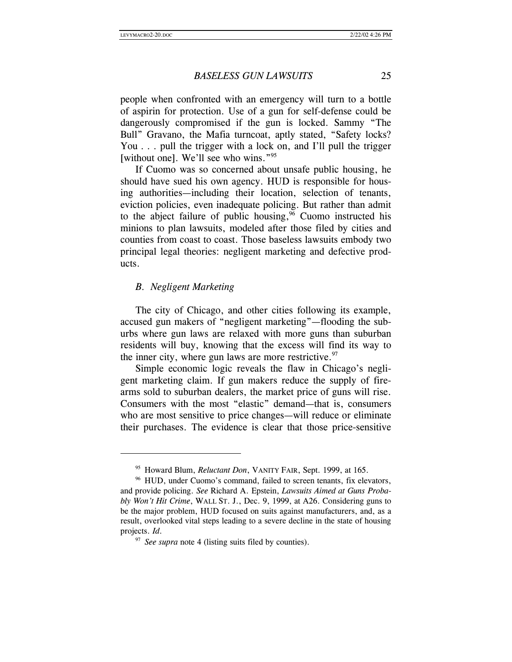people when confronted with an emergency will turn to a bottle of aspirin for protection. Use of a gun for self-defense could be dangerously compromised if the gun is locked. Sammy "The Bull" Gravano, the Mafia turncoat, aptly stated, "Safety locks? You . . . pull the trigger with a lock on, and I'll pull the trigger [without one]. We'll see who wins."<sup>95</sup>

If Cuomo was so concerned about unsafe public housing, he should have sued his own agency. HUD is responsible for housing authorities—including their location, selection of tenants, eviction policies, even inadequate policing. But rather than admit to the abject failure of public housing,  $96$  Cuomo instructed his minions to plan lawsuits, modeled after those filed by cities and counties from coast to coast. Those baseless lawsuits embody two principal legal theories: negligent marketing and defective products.

#### *B. Negligent Marketing*

 $\overline{a}$ 

The city of Chicago, and other cities following its example, accused gun makers of "negligent marketing"—flooding the suburbs where gun laws are relaxed with more guns than suburban residents will buy, knowing that the excess will find its way to the inner city, where gun laws are more restrictive. $97$ 

Simple economic logic reveals the flaw in Chicago's negligent marketing claim. If gun makers reduce the supply of firearms sold to suburban dealers, the market price of guns will rise. Consumers with the most "elastic" demand—that is, consumers who are most sensitive to price changes—will reduce or eliminate their purchases. The evidence is clear that those price-sensitive

<sup>&</sup>lt;sup>95</sup> Howard Blum, *Reluctant Don*, VANITY FAIR, Sept. 1999, at 165.<br><sup>96</sup> HUD, under Cuomo's command, failed to screen tenants, fix elevators,

and provide policing. *See* Richard A. Epstein, *Lawsuits Aimed at Guns Probably Won't Hit Crime*, WALL ST. J., Dec. 9, 1999, at A26. Considering guns to be the major problem, HUD focused on suits against manufacturers, and, as a result, overlooked vital steps leading to a severe decline in the state of housing projects. *Id*.

<sup>97</sup> *See supra* note 4 (listing suits filed by counties).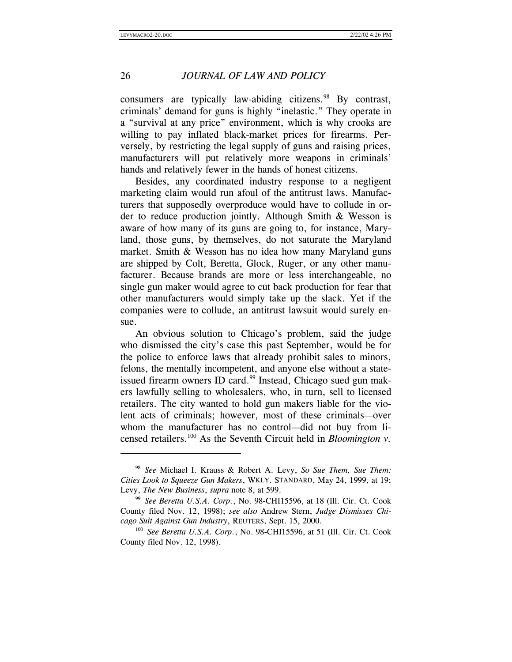$\overline{\phantom{a}}$ 

# 26 *JOURNAL OF LAW AND POLICY*

consumers are typically law-abiding citizens. $98$  By contrast, criminals' demand for guns is highly "inelastic." They operate in a "survival at any price" environment, which is why crooks are willing to pay inflated black-market prices for firearms. Perversely, by restricting the legal supply of guns and raising prices, manufacturers will put relatively more weapons in criminals' hands and relatively fewer in the hands of honest citizens.

Besides, any coordinated industry response to a negligent marketing claim would run afoul of the antitrust laws. Manufacturers that supposedly overproduce would have to collude in order to reduce production jointly. Although Smith & Wesson is aware of how many of its guns are going to, for instance, Maryland, those guns, by themselves, do not saturate the Maryland market. Smith & Wesson has no idea how many Maryland guns are shipped by Colt, Beretta, Glock, Ruger, or any other manufacturer. Because brands are more or less interchangeable, no single gun maker would agree to cut back production for fear that other manufacturers would simply take up the slack. Yet if the companies were to collude, an antitrust lawsuit would surely ensue.

An obvious solution to Chicago's problem, said the judge who dismissed the city's case this past September, would be for the police to enforce laws that already prohibit sales to minors, felons, the mentally incompetent, and anyone else without a stateissued firearm owners ID card.<sup>99</sup> Instead, Chicago sued gun makers lawfully selling to wholesalers, who, in turn, sell to licensed retailers. The city wanted to hold gun makers liable for the violent acts of criminals; however, most of these criminals—over whom the manufacturer has no control—did not buy from licensed retailers.<sup>100</sup> As the Seventh Circuit held in *Bloomington v*.

<sup>98</sup> *See* Michael I. Krauss & Robert A. Levy, *So Sue Them, Sue Them: Cities Look to Squeeze Gun Makers*, WKLY. STANDARD, May 24, 1999, at 19; Levy, *The New Business*, *supra* note 8, at 599.<br><sup>99</sup> *See Beretta U.S.A. Corp.*, No. 98-CHI15596, at 18 (Ill. Cir. Ct. Cook

County filed Nov. 12, 1998); *see also* Andrew Stern, *Judge Dismisses Chicago Suit Against Gun Industry*, REUTERS, Sept. 15, 2000.

<sup>100</sup> *See Beretta U.S.A. Corp.*, No. 98-CHI15596, at 51 (Ill. Cir. Ct. Cook County filed Nov. 12, 1998).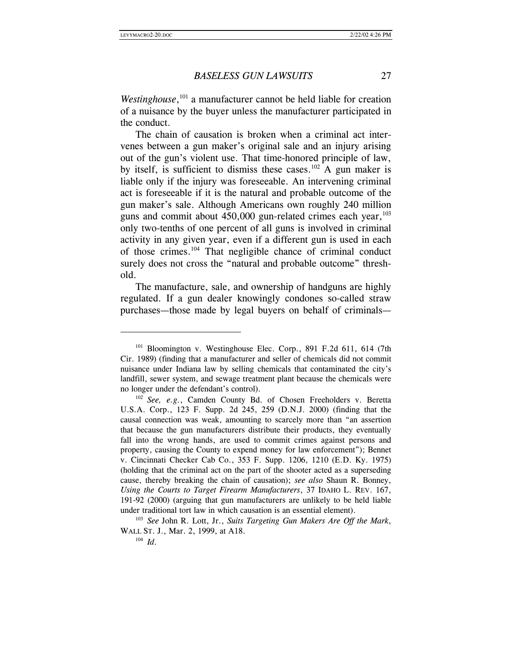Westinghouse,<sup>101</sup> a manufacturer cannot be held liable for creation of a nuisance by the buyer unless the manufacturer participated in the conduct.

The chain of causation is broken when a criminal act intervenes between a gun maker's original sale and an injury arising out of the gun's violent use. That time-honored principle of law, by itself, is sufficient to dismiss these cases.<sup>102</sup> A gun maker is liable only if the injury was foreseeable. An intervening criminal act is foreseeable if it is the natural and probable outcome of the gun maker's sale. Although Americans own roughly 240 million guns and commit about  $450,000$  gun-related crimes each year, $103$ only two-tenths of one percent of all guns is involved in criminal activity in any given year, even if a different gun is used in each of those crimes.104 That negligible chance of criminal conduct surely does not cross the "natural and probable outcome" threshold.

The manufacture, sale, and ownership of handguns are highly regulated. If a gun dealer knowingly condones so-called straw purchases—those made by legal buyers on behalf of criminals—

<sup>&</sup>lt;sup>101</sup> Bloomington v. Westinghouse Elec. Corp., 891 F.2d 611, 614 (7th Cir. 1989) (finding that a manufacturer and seller of chemicals did not commit nuisance under Indiana law by selling chemicals that contaminated the city's landfill, sewer system, and sewage treatment plant because the chemicals were no longer under the defendant's control). 102 *See, e.g.*, Camden County Bd. of Chosen Freeholders v. Beretta

U.S.A. Corp., 123 F. Supp. 2d 245, 259 (D.N.J. 2000) (finding that the causal connection was weak, amounting to scarcely more than "an assertion that because the gun manufacturers distribute their products, they eventually fall into the wrong hands, are used to commit crimes against persons and property, causing the County to expend money for law enforcement"); Bennet v. Cincinnati Checker Cab Co., 353 F. Supp. 1206, 1210 (E.D. Ky. 1975) (holding that the criminal act on the part of the shooter acted as a superseding cause, thereby breaking the chain of causation); *see also* Shaun R. Bonney, *Using the Courts to Target Firearm Manufacturers*, 37 IDAHO L. REV. 167, 191-92 (2000) (arguing that gun manufacturers are unlikely to be held liable under traditional tort law in which causation is an essential element).

<sup>103</sup> *See* John R. Lott, Jr., *Suits Targeting Gun Makers Are Off the Mark*, WALL ST. J., Mar. 2, 1999, at A18.<br><sup>104</sup> *Id*.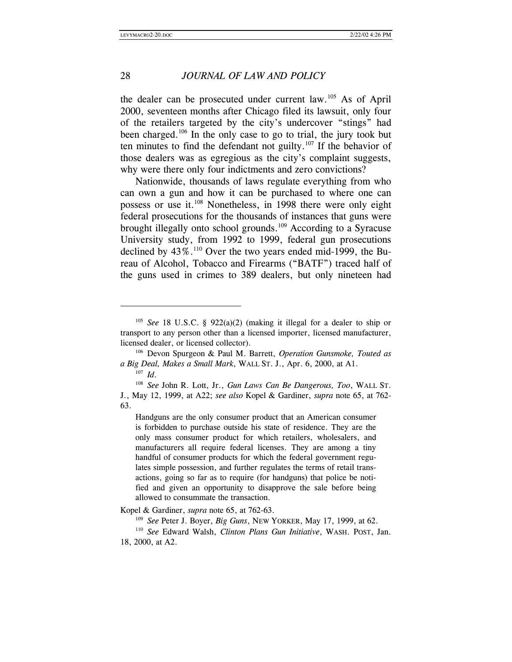the dealer can be prosecuted under current law.<sup>105</sup> As of April 2000, seventeen months after Chicago filed its lawsuit, only four of the retailers targeted by the city's undercover "stings" had been charged.<sup>106</sup> In the only case to go to trial, the jury took but ten minutes to find the defendant not guilty.<sup>107</sup> If the behavior of those dealers was as egregious as the city's complaint suggests, why were there only four indictments and zero convictions?

Nationwide, thousands of laws regulate everything from who can own a gun and how it can be purchased to where one can possess or use it.108 Nonetheless, in 1998 there were only eight federal prosecutions for the thousands of instances that guns were brought illegally onto school grounds.<sup>109</sup> According to a Syracuse University study, from 1992 to 1999, federal gun prosecutions declined by 43%.<sup>110</sup> Over the two years ended mid-1999, the Bureau of Alcohol, Tobacco and Firearms ("BATF") traced half of the guns used in crimes to 389 dealers, but only nineteen had

 $\overline{\phantom{a}}$ 

Handguns are the only consumer product that an American consumer is forbidden to purchase outside his state of residence. They are the only mass consumer product for which retailers, wholesalers, and manufacturers all require federal licenses. They are among a tiny handful of consumer products for which the federal government regulates simple possession, and further regulates the terms of retail transactions, going so far as to require (for handguns) that police be notified and given an opportunity to disapprove the sale before being allowed to consummate the transaction.

<sup>&</sup>lt;sup>105</sup> *See* 18 U.S.C. § 922(a)(2) (making it illegal for a dealer to ship or transport to any person other than a licensed importer, licensed manufacturer, licensed dealer, or licensed collector). 106 Devon Spurgeon & Paul M. Barrett, *Operation Gunsmoke, Touted as* 

*a Big Deal, Makes a Small Mark*, WALL ST. J., Apr. 6, 2000, at A1.<br><sup>107</sup> *Id.* <sup>108</sup> *See* John R. Lott, Jr., *Gun Laws Can Be Dangerous, Too*, WALL ST.

J., May 12, 1999, at A22; *see also* Kopel & Gardiner, *supra* note 65, at 762- 63.

Kopel & Gardiner, *supra* note 65, at 762-63.<br><sup>109</sup> *See* Peter J. Boyer, *Big Guns*, NEW YORKER, May 17, 1999, at 62.<br><sup>110</sup> *See* Edward Walsh, *Clinton Plans Gun Initiative*, WASH. POST, Jan. 18, 2000, at A2.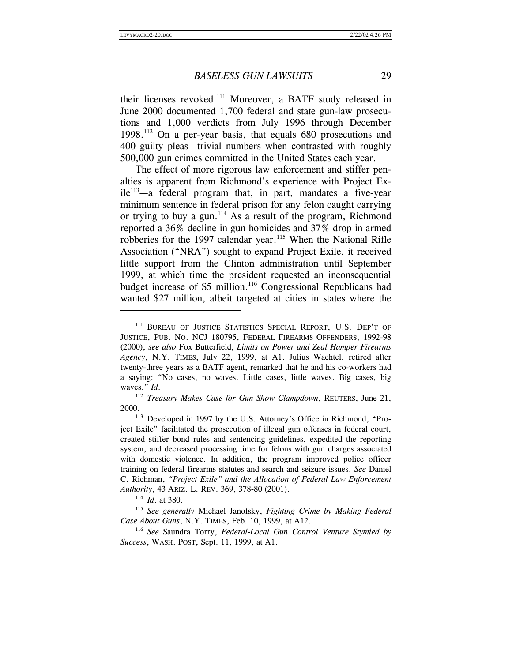their licenses revoked.<sup>111</sup> Moreover, a BATF study released in June 2000 documented 1,700 federal and state gun-law prosecutions and 1,000 verdicts from July 1996 through December 1998.112 On a per-year basis, that equals 680 prosecutions and 400 guilty pleas—trivial numbers when contrasted with roughly 500,000 gun crimes committed in the United States each year.

The effect of more rigorous law enforcement and stiffer penalties is apparent from Richmond's experience with Project Ex $ile<sup>113</sup>$ —a federal program that, in part, mandates a five-year minimum sentence in federal prison for any felon caught carrying or trying to buy a gun.<sup>114</sup> As a result of the program, Richmond reported a 36% decline in gun homicides and 37% drop in armed robberies for the 1997 calendar year.<sup>115</sup> When the National Rifle Association ("NRA") sought to expand Project Exile, it received little support from the Clinton administration until September 1999, at which time the president requested an inconsequential budget increase of \$5 million.<sup>116</sup> Congressional Republicans had wanted \$27 million, albeit targeted at cities in states where the

<sup>&</sup>lt;sup>111</sup> BUREAU OF JUSTICE STATISTICS SPECIAL REPORT, U.S. DEP'T OF JUSTICE, PUB. NO. NCJ 180795, FEDERAL FIREARMS OFFENDERS, 1992-98 (2000); *see also* Fox Butterfield, *Limits on Power and Zeal Hamper Firearms Agency*, N.Y. TIMES, July 22, 1999, at A1. Julius Wachtel, retired after twenty-three years as a BATF agent, remarked that he and his co-workers had a saying: "No cases, no waves. Little cases, little waves. Big cases, big waves." *Id.* 112 *Treasury Makes Case for Gun Show Clampdown*, REUTERS, June 21,

<sup>2000. 113</sup> Developed in 1997 by the U.S. Attorney's Office in Richmond, "Pro-

ject Exile" facilitated the prosecution of illegal gun offenses in federal court, created stiffer bond rules and sentencing guidelines, expedited the reporting system, and decreased processing time for felons with gun charges associated with domestic violence. In addition, the program improved police officer training on federal firearms statutes and search and seizure issues. *See* Daniel C. Richman, *"Project Exile" and the Allocation of Federal Law Enforcement Authority*, 43 ARIZ. L. REV. 369, 378-80 (2001).

<sup>&</sup>lt;sup>114</sup> *Id.* at 380.<br><sup>115</sup> *See generally* Michael Janofsky, *Fighting Crime by Making Federal Case About Guns*, N.Y. TIMES, Feb. 10, 1999, at A12. 116 *See* Saundra Torry, *Federal-Local Gun Control Venture Stymied by* 

*Success*, WASH. POST, Sept. 11, 1999, at A1.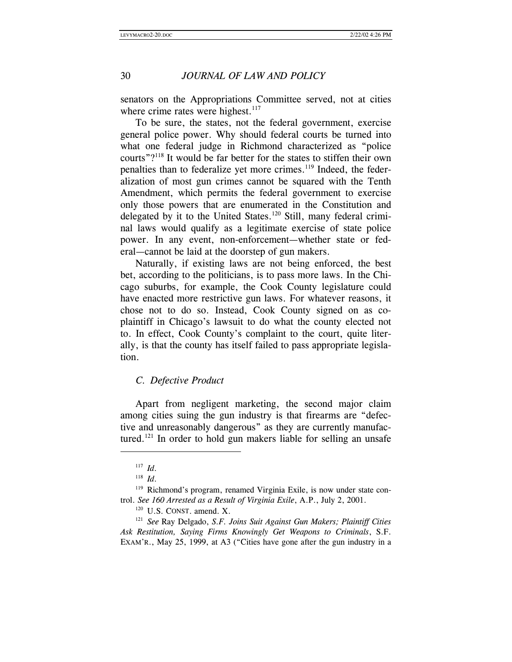senators on the Appropriations Committee served, not at cities where crime rates were highest. $117$ 

To be sure, the states, not the federal government, exercise general police power. Why should federal courts be turned into what one federal judge in Richmond characterized as "police courts"?118 It would be far better for the states to stiffen their own penalties than to federalize yet more crimes.<sup>119</sup> Indeed, the federalization of most gun crimes cannot be squared with the Tenth Amendment, which permits the federal government to exercise only those powers that are enumerated in the Constitution and delegated by it to the United States.<sup>120</sup> Still, many federal criminal laws would qualify as a legitimate exercise of state police power. In any event, non-enforcement—whether state or federal—cannot be laid at the doorstep of gun makers.

Naturally, if existing laws are not being enforced, the best bet, according to the politicians, is to pass more laws. In the Chicago suburbs, for example, the Cook County legislature could have enacted more restrictive gun laws. For whatever reasons, it chose not to do so. Instead, Cook County signed on as coplaintiff in Chicago's lawsuit to do what the county elected not to. In effect, Cook County's complaint to the court, quite literally, is that the county has itself failed to pass appropriate legislation.

#### *C. Defective Product*

Apart from negligent marketing, the second major claim among cities suing the gun industry is that firearms are "defective and unreasonably dangerous" as they are currently manufactured.<sup>121</sup> In order to hold gun makers liable for selling an unsafe

<sup>117</sup> *Id.*<br><sup>118</sup> *Id.* 118 *Id.* 118 *ID.* 200 **Right** Richmond's program, renamed Virginia Exile, is now under state control. *See 160 Arrested as a Result of Virginia Exile*, A.P., July 2, 2001.<br><sup>120</sup> U.S. CONST. amend. X. <sup>121</sup> *See* Ray Delgado, *S.F. Joins Suit Against Gun Makers; Plaintiff Cities* 

*Ask Restitution, Saying Firms Knowingly Get Weapons to Criminals*, S.F. EXAM'R., May 25, 1999, at A3 ("Cities have gone after the gun industry in a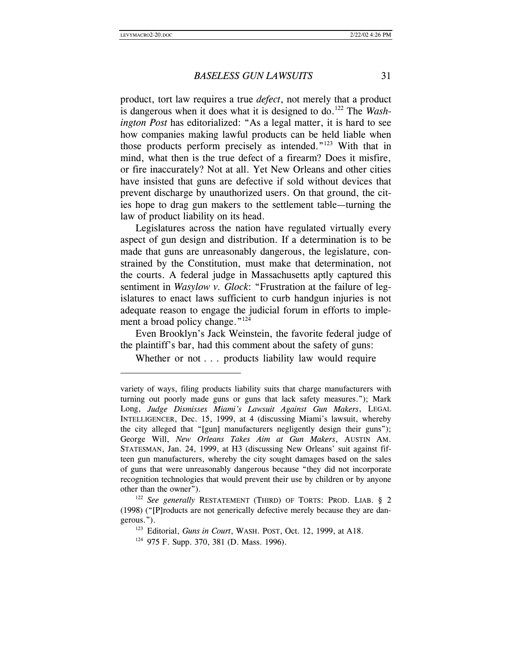*BASELESS GUN LAWSUITS* 31

product, tort law requires a true *defect*, not merely that a product is dangerous when it does what it is designed to do.<sup>122</sup> The *Washington Post* has editorialized: "As a legal matter, it is hard to see how companies making lawful products can be held liable when those products perform precisely as intended."<sup>123</sup> With that in mind, what then is the true defect of a firearm? Does it misfire, or fire inaccurately? Not at all. Yet New Orleans and other cities have insisted that guns are defective if sold without devices that prevent discharge by unauthorized users. On that ground, the cities hope to drag gun makers to the settlement table—turning the law of product liability on its head.

Legislatures across the nation have regulated virtually every aspect of gun design and distribution. If a determination is to be made that guns are unreasonably dangerous, the legislature, constrained by the Constitution, must make that determination, not the courts. A federal judge in Massachusetts aptly captured this sentiment in *Wasylow v. Glock*: "Frustration at the failure of legislatures to enact laws sufficient to curb handgun injuries is not adequate reason to engage the judicial forum in efforts to implement a broad policy change."<sup>124</sup>

Even Brooklyn's Jack Weinstein, the favorite federal judge of the plaintiff's bar, had this comment about the safety of guns:

Whether or not . . . products liability law would require

variety of ways, filing products liability suits that charge manufacturers with turning out poorly made guns or guns that lack safety measures."); Mark Long, *Judge Dismisses Miami's Lawsuit Against Gun Makers*, LEGAL INTELLIGENCER, Dec. 15, 1999, at 4 (discussing Miami's lawsuit, whereby the city alleged that "[gun] manufacturers negligently design their guns"); George Will, *New Orleans Takes Aim at Gun Makers*, AUSTIN AM. STATESMAN, Jan. 24, 1999, at H3 (discussing New Orleans' suit against fifteen gun manufacturers, whereby the city sought damages based on the sales of guns that were unreasonably dangerous because "they did not incorporate recognition technologies that would prevent their use by children or by anyone

other than the owner").<br><sup>122</sup> *See generally* RESTATEMENT (THIRD) OF TORTS: PROD. LIAB. § 2 (1998) ("[P]roducts are not generically defective merely because they are dangerous."). 123 Editorial, *Guns in Court*, WASH. POST, Oct. 12, 1999, at A18. 124 975 F. Supp. 370, 381 (D. Mass. 1996).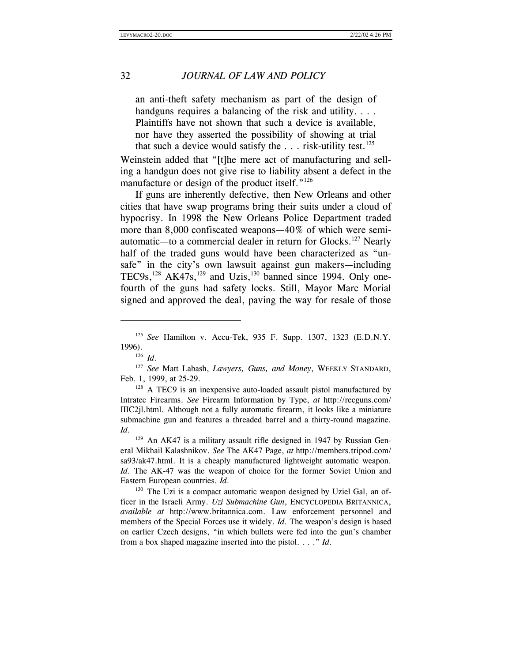an anti-theft safety mechanism as part of the design of handguns requires a balancing of the risk and utility. . . . Plaintiffs have not shown that such a device is available, nor have they asserted the possibility of showing at trial that such a device would satisfy the  $\dots$  risk-utility test.<sup>125</sup>

Weinstein added that "[t]he mere act of manufacturing and selling a handgun does not give rise to liability absent a defect in the manufacture or design of the product itself." $126$ 

 If guns are inherently defective, then New Orleans and other cities that have swap programs bring their suits under a cloud of hypocrisy. In 1998 the New Orleans Police Department traded more than 8,000 confiscated weapons—40% of which were semiautomatic—to a commercial dealer in return for Glocks.127 Nearly half of the traded guns would have been characterized as "unsafe" in the city's own lawsuit against gun makers—including TEC9s,<sup>128</sup> AK47s,<sup>129</sup> and Uzis,<sup>130</sup> banned since 1994. Only onefourth of the guns had safety locks. Still, Mayor Marc Morial signed and approved the deal, paving the way for resale of those

 $\overline{\phantom{a}}$ 

<sup>128</sup> A TEC9 is an inexpensive auto-loaded assault pistol manufactured by Intratec Firearms. *See* Firearm Information by Type, *at* http://recguns.com/ IIIC2jl.html. Although not a fully automatic firearm, it looks like a miniature submachine gun and features a threaded barrel and a thirty-round magazine. *Id*. <sup>129</sup> An AK47 is a military assault rifle designed in 1947 by Russian Gen-

eral Mikhail Kalashnikov. *See* The AK47 Page, *at* http://members.tripod.com/ sa93/ak47.html. It is a cheaply manufactured lightweight automatic weapon. *Id*. The AK-47 was the weapon of choice for the former Soviet Union and Eastern European countries. *Id*. <sup>130</sup> The Uzi is a compact automatic weapon designed by Uziel Gal, an of-

ficer in the Israeli Army. *Uzi Submachine Gun*, ENCYCLOPEDIA BRITANNICA, *available at* http://www.britannica.com. Law enforcement personnel and members of the Special Forces use it widely. *Id*. The weapon's design is based on earlier Czech designs, "in which bullets were fed into the gun's chamber from a box shaped magazine inserted into the pistol. . . ." *Id*.

<sup>125</sup> *See* Hamilton v. Accu-Tek, 935 F. Supp. 1307, 1323 (E.D.N.Y. 1996). 126 *Id*. 127 *See* Matt Labash, *Lawyers, Guns, and Money*, WEEKLY STANDARD,

Feb. 1, 1999, at 25-29.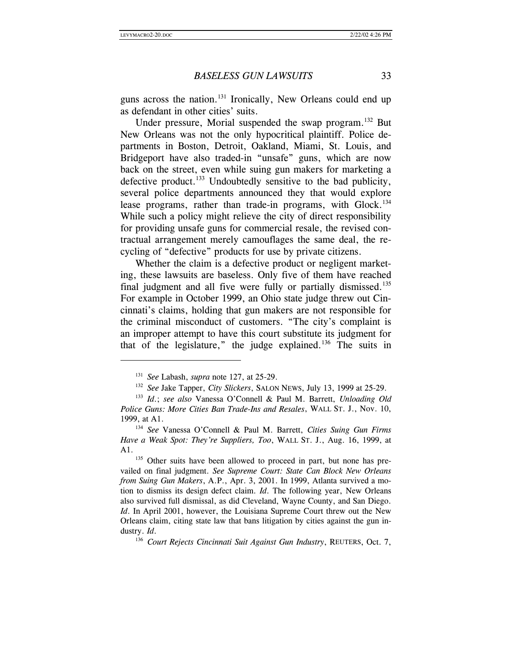guns across the nation.131 Ironically, New Orleans could end up as defendant in other cities' suits.

Under pressure, Morial suspended the swap program.<sup>132</sup> But New Orleans was not the only hypocritical plaintiff. Police departments in Boston, Detroit, Oakland, Miami, St. Louis, and Bridgeport have also traded-in "unsafe" guns, which are now back on the street, even while suing gun makers for marketing a defective product. $^{133}$  Undoubtedly sensitive to the bad publicity, several police departments announced they that would explore lease programs, rather than trade-in programs, with Glock.<sup>134</sup> While such a policy might relieve the city of direct responsibility for providing unsafe guns for commercial resale, the revised contractual arrangement merely camouflages the same deal, the recycling of "defective" products for use by private citizens.

Whether the claim is a defective product or negligent marketing, these lawsuits are baseless. Only five of them have reached final judgment and all five were fully or partially dismissed.<sup>135</sup> For example in October 1999, an Ohio state judge threw out Cincinnati's claims, holding that gun makers are not responsible for the criminal misconduct of customers. "The city's complaint is an improper attempt to have this court substitute its judgment for that of the legislature," the judge explained. $136$  The suits in

<sup>&</sup>lt;sup>131</sup> See Labash, *supra* note 127, at 25-29.<br><sup>132</sup> See Jake Tapper, *City Slickers*, SALON NEWS, July 13, 1999 at 25-29.<br><sup>133</sup> Id.; see also Vanessa O'Connell & Paul M. Barrett, *Unloading Old* 

*Police Guns: More Cities Ban Trade-Ins and Resales*, WALL ST. J., Nov. 10, 1999, at A1. 134 *See* Vanessa O'Connell & Paul M. Barrett, *Cities Suing Gun Firms* 

*Have a Weak Spot: They're Suppliers, Too*, WALL ST. J., Aug. 16, 1999, at A1.<br><sup>135</sup> Other suits have been allowed to proceed in part, but none has pre-

vailed on final judgment. *See Supreme Court: State Can Block New Orleans from Suing Gun Makers*, A.P., Apr. 3, 2001. In 1999, Atlanta survived a motion to dismiss its design defect claim. *Id*. The following year, New Orleans also survived full dismissal, as did Cleveland, Wayne County, and San Diego. *Id*. In April 2001, however, the Louisiana Supreme Court threw out the New Orleans claim, citing state law that bans litigation by cities against the gun industry. *Id.* 136 *Court Rejects Cincinnati Suit Against Gun Industry*, REUTERS, Oct. 7,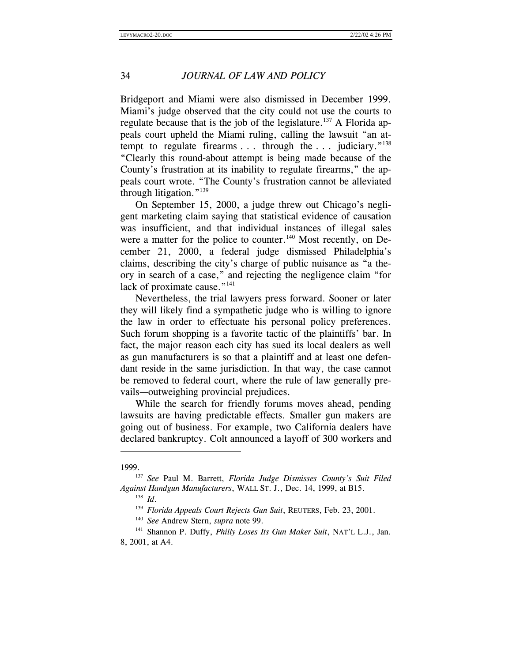Bridgeport and Miami were also dismissed in December 1999. Miami's judge observed that the city could not use the courts to regulate because that is the job of the legislature.<sup>137</sup> A Florida appeals court upheld the Miami ruling, calling the lawsuit "an attempt to regulate firearms  $\dots$  through the  $\dots$  judiciary."<sup>138</sup> "Clearly this round-about attempt is being made because of the County's frustration at its inability to regulate firearms," the appeals court wrote. "The County's frustration cannot be alleviated through litigation."<sup>139</sup>

On September 15, 2000, a judge threw out Chicago's negligent marketing claim saying that statistical evidence of causation was insufficient, and that individual instances of illegal sales were a matter for the police to counter.<sup>140</sup> Most recently, on December 21, 2000, a federal judge dismissed Philadelphia's claims, describing the city's charge of public nuisance as "a theory in search of a case," and rejecting the negligence claim "for lack of proximate cause."<sup>141</sup>

Nevertheless, the trial lawyers press forward. Sooner or later they will likely find a sympathetic judge who is willing to ignore the law in order to effectuate his personal policy preferences. Such forum shopping is a favorite tactic of the plaintiffs' bar. In fact, the major reason each city has sued its local dealers as well as gun manufacturers is so that a plaintiff and at least one defendant reside in the same jurisdiction. In that way, the case cannot be removed to federal court, where the rule of law generally prevails—outweighing provincial prejudices.

While the search for friendly forums moves ahead, pending lawsuits are having predictable effects. Smaller gun makers are going out of business. For example, two California dealers have declared bankruptcy. Colt announced a layoff of 300 workers and

<sup>1999.137</sup> *See* Paul M. Barrett, *Florida Judge Dismisses County's Suit Filed Against Handgun Manufacturers*, WALL ST. J., Dec. 14, 1999, at B15.

<sup>&</sup>lt;sup>138</sup> *Id.* 139 *Florida Appeals Court Rejects Gun Suit*, REUTERS, Feb. 23, 2001.<br><sup>140</sup> *See* Andrew Stern, *supra* note 99. 141 Shannon P. Duffy, *Philly Loses Its Gun Maker Suit*, NAT'L L.J., Jan. 8, 2001, at A4.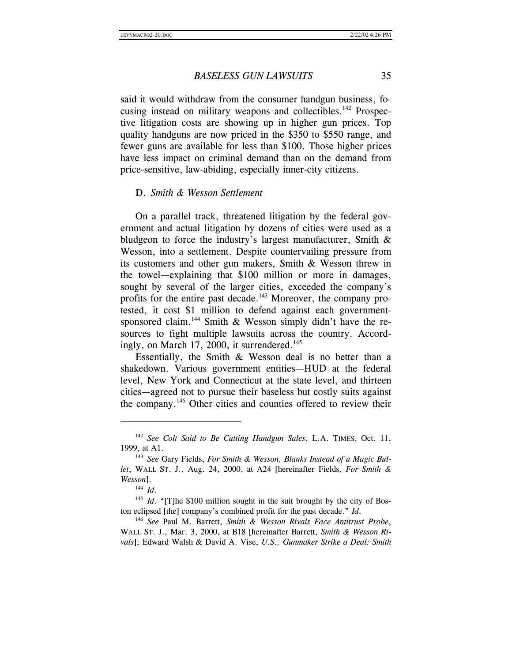said it would withdraw from the consumer handgun business, focusing instead on military weapons and collectibles.<sup>142</sup> Prospective litigation costs are showing up in higher gun prices. Top quality handguns are now priced in the \$350 to \$550 range, and fewer guns are available for less than \$100. Those higher prices have less impact on criminal demand than on the demand from price-sensitive, law-abiding, especially inner-city citizens.

#### D. *Smith & Wesson Settlement*

On a parallel track, threatened litigation by the federal government and actual litigation by dozens of cities were used as a bludgeon to force the industry's largest manufacturer, Smith & Wesson, into a settlement. Despite countervailing pressure from its customers and other gun makers, Smith & Wesson threw in the towel—explaining that \$100 million or more in damages, sought by several of the larger cities, exceeded the company's profits for the entire past decade.<sup>143</sup> Moreover, the company protested, it cost \$1 million to defend against each governmentsponsored claim.<sup>144</sup> Smith & Wesson simply didn't have the resources to fight multiple lawsuits across the country. Accordingly, on March 17, 2000, it surrendered.<sup>145</sup>

Essentially, the Smith & Wesson deal is no better than a shakedown. Various government entities—HUD at the federal level, New York and Connecticut at the state level, and thirteen cities—agreed not to pursue their baseless but costly suits against the company.146 Other cities and counties offered to review their

<sup>142</sup> *See Colt Said to Be Cutting Handgun Sales*, L.A. TIMES, Oct. 11, 1999, at A1. 143 *See* Gary Fields, *For Smith & Wesson, Blanks Instead of a Magic Bul-*

*let*, WALL ST. J., Aug. 24, 2000, at A24 [hereinafter Fields, *For Smith & Wesson*].<br><sup>144</sup> *Id.* 

 $145$  *Id*. "[T]he \$100 million sought in the suit brought by the city of Boston eclipsed [the] company's combined profit for the past decade." *Id*. 146 *See* Paul M. Barrett, *Smith & Wesson Rivals Face Antitrust Probe*,

WALL ST. J., Mar. 3, 2000, at B18 [hereinafter Barrett, *Smith & Wesson Rivals*]; Edward Walsh & David A. Vise, *U.S., Gunmaker Strike a Deal: Smith*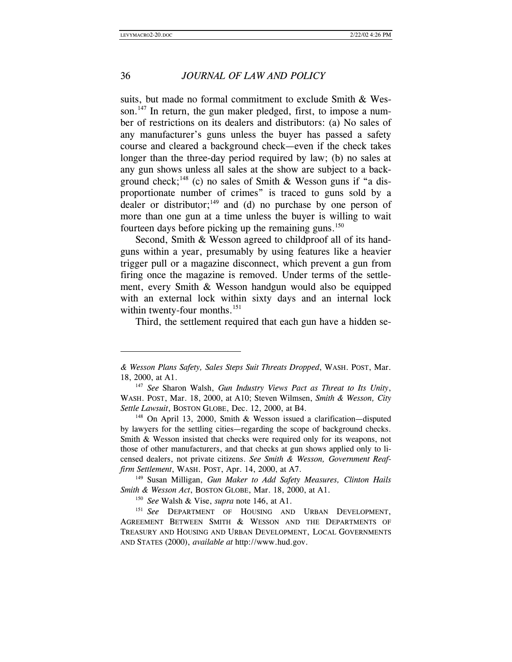$\overline{\phantom{a}}$ 

# 36 *JOURNAL OF LAW AND POLICY*

suits, but made no formal commitment to exclude Smith & Wesson.<sup>147</sup> In return, the gun maker pledged, first, to impose a number of restrictions on its dealers and distributors: (a) No sales of any manufacturer's guns unless the buyer has passed a safety course and cleared a background check—even if the check takes longer than the three-day period required by law; (b) no sales at any gun shows unless all sales at the show are subject to a background check;<sup>148</sup> (c) no sales of Smith & Wesson guns if "a disproportionate number of crimes" is traced to guns sold by a dealer or distributor; $^{149}$  and (d) no purchase by one person of more than one gun at a time unless the buyer is willing to wait fourteen days before picking up the remaining guns.<sup>150</sup>

Second, Smith & Wesson agreed to childproof all of its handguns within a year, presumably by using features like a heavier trigger pull or a magazine disconnect, which prevent a gun from firing once the magazine is removed. Under terms of the settlement, every Smith & Wesson handgun would also be equipped with an external lock within sixty days and an internal lock within twenty-four months.<sup>151</sup>

Third, the settlement required that each gun have a hidden se-

*<sup>&</sup>amp; Wesson Plans Safety, Sales Steps Suit Threats Dropped*, WASH. POST, Mar. 18, 2000, at A1. 147 *See* Sharon Walsh, *Gun Industry Views Pact as Threat to Its Unity*,

WASH. POST, Mar. 18, 2000, at A10; Steven Wilmsen, *Smith & Wesson, City Settle Lawsuit*, BOSTON GLOBE, Dec. 12, 2000, at B4. 148 On April 13, 2000, Smith & Wesson issued a clarification—disputed

by lawyers for the settling cities—regarding the scope of background checks. Smith & Wesson insisted that checks were required only for its weapons, not those of other manufacturers, and that checks at gun shows applied only to licensed dealers, not private citizens. *See Smith & Wesson, Government Reaffirm Settlement*, WASH. POST, Apr. 14, 2000, at A7. 149 Susan Milligan, *Gun Maker to Add Safety Measures, Clinton Hails* 

*Smith & Wesson Act*, BOSTON GLOBE, Mar. 18, 2000, at A1.

<sup>150</sup> *See* Walsh & Vise, *supra* note 146, at A1.

<sup>&</sup>lt;sup>151</sup> See DEPARTMENT OF HOUSING AND URBAN DEVELOPMENT, AGREEMENT BETWEEN SMITH & WESSON AND THE DEPARTMENTS OF TREASURY AND HOUSING AND URBAN DEVELOPMENT, LOCAL GOVERNMENTS AND STATES (2000), *available at* http://www.hud.gov.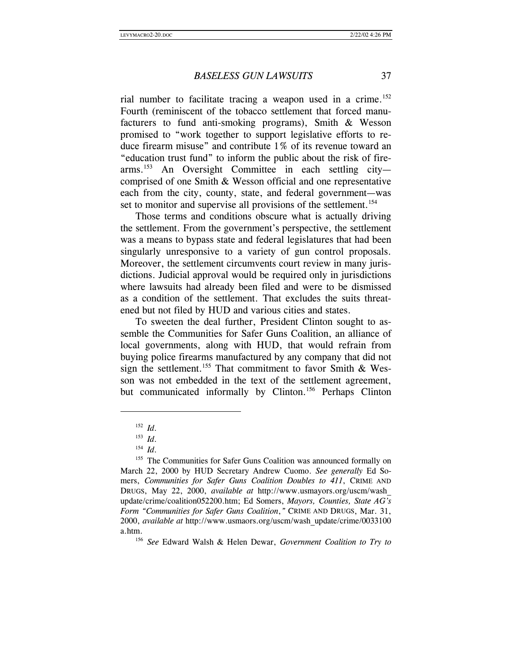rial number to facilitate tracing a weapon used in a crime.<sup>152</sup> Fourth (reminiscent of the tobacco settlement that forced manufacturers to fund anti-smoking programs), Smith & Wesson promised to "work together to support legislative efforts to reduce firearm misuse" and contribute 1% of its revenue toward an "education trust fund" to inform the public about the risk of firearms.153 An Oversight Committee in each settling city comprised of one Smith & Wesson official and one representative each from the city, county, state, and federal government—was set to monitor and supervise all provisions of the settlement.<sup>154</sup>

Those terms and conditions obscure what is actually driving the settlement. From the government's perspective, the settlement was a means to bypass state and federal legislatures that had been singularly unresponsive to a variety of gun control proposals. Moreover, the settlement circumvents court review in many jurisdictions. Judicial approval would be required only in jurisdictions where lawsuits had already been filed and were to be dismissed as a condition of the settlement. That excludes the suits threatened but not filed by HUD and various cities and states.

To sweeten the deal further, President Clinton sought to assemble the Communities for Safer Guns Coalition, an alliance of local governments, along with HUD, that would refrain from buying police firearms manufactured by any company that did not sign the settlement.<sup>155</sup> That commitment to favor Smith & Wesson was not embedded in the text of the settlement agreement, but communicated informally by Clinton.<sup>156</sup> Perhaps Clinton

<sup>152</sup> *Id.*<br>
153 *Id.*<br>
154 *Id.*<br>
155 The Communities for Safer Guns Coalition was announced formally on March 22, 2000 by HUD Secretary Andrew Cuomo. *See generally* Ed Somers, *Communities for Safer Guns Coalition Doubles to 411*, CRIME AND DRUGS, May 22, 2000, *available at* http://www.usmayors.org/uscm/wash\_ update/crime/coalition052200.htm; Ed Somers, *Mayors, Counties, State AG's Form "Communities for Safer Guns Coalition*,*"* CRIME AND DRUGS, Mar. 31, 2000, *available at* http://www.usmaors.org/uscm/wash\_update/crime/0033100 a.htm. 156 *See* Edward Walsh & Helen Dewar, *Government Coalition to Try to*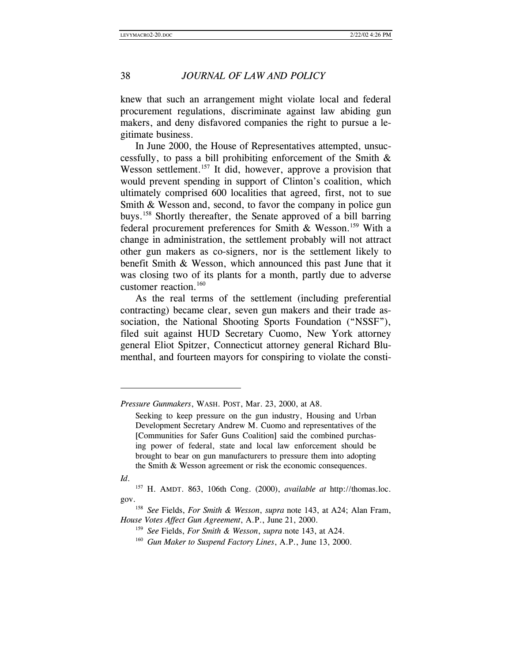knew that such an arrangement might violate local and federal procurement regulations, discriminate against law abiding gun makers, and deny disfavored companies the right to pursue a legitimate business.

In June 2000, the House of Representatives attempted, unsuccessfully, to pass a bill prohibiting enforcement of the Smith & Wesson settlement.<sup>157</sup> It did, however, approve a provision that would prevent spending in support of Clinton's coalition, which ultimately comprised 600 localities that agreed, first, not to sue Smith & Wesson and, second, to favor the company in police gun buys.158 Shortly thereafter, the Senate approved of a bill barring federal procurement preferences for Smith & Wesson.<sup>159</sup> With a change in administration, the settlement probably will not attract other gun makers as co-signers, nor is the settlement likely to benefit Smith & Wesson, which announced this past June that it was closing two of its plants for a month, partly due to adverse customer reaction.<sup>160</sup>

As the real terms of the settlement (including preferential contracting) became clear, seven gun makers and their trade association, the National Shooting Sports Foundation ("NSSF"), filed suit against HUD Secretary Cuomo, New York attorney general Eliot Spitzer, Connecticut attorney general Richard Blumenthal, and fourteen mayors for conspiring to violate the consti-

*Id*.

*Pressure Gunmakers*, WASH. POST, Mar. 23, 2000, at A8.

Seeking to keep pressure on the gun industry, Housing and Urban Development Secretary Andrew M. Cuomo and representatives of the [Communities for Safer Guns Coalition] said the combined purchasing power of federal, state and local law enforcement should be brought to bear on gun manufacturers to pressure them into adopting the Smith & Wesson agreement or risk the economic consequences.

<sup>157</sup> H. AMDT. 863, 106th Cong. (2000), *available at* http://thomas.loc. gov. 158 *See* Fields, *For Smith & Wesson*, *supra* note 143, at A24; Alan Fram,

*House Votes Affect Gun Agreement*, A.P., June 21, 2000.<br><sup>159</sup> *See* Fields, *For Smith & Wesson*, *supra* note 143, at A24.

<sup>160</sup> *Gun Maker to Suspend Factory Lines*, A.P., June 13, 2000.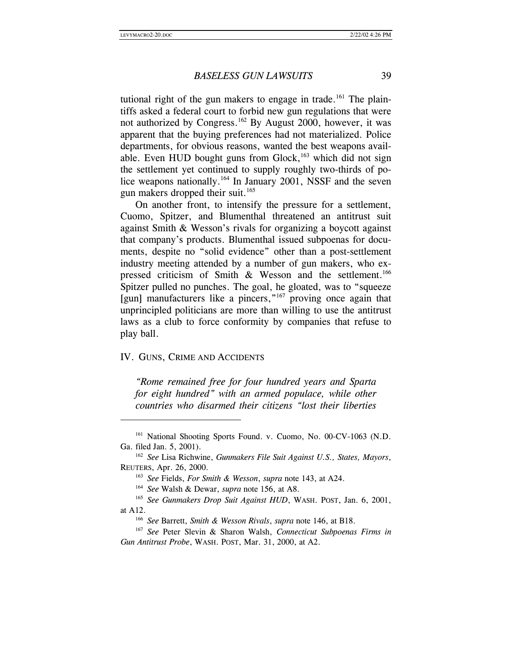tutional right of the gun makers to engage in trade.<sup>161</sup> The plaintiffs asked a federal court to forbid new gun regulations that were not authorized by Congress.<sup>162</sup> By August 2000, however, it was apparent that the buying preferences had not materialized. Police departments, for obvious reasons, wanted the best weapons available. Even HUD bought guns from Glock, $163$  which did not sign the settlement yet continued to supply roughly two-thirds of police weapons nationally.<sup>164</sup> In January 2001, NSSF and the seven gun makers dropped their suit.<sup>165</sup>

On another front, to intensify the pressure for a settlement, Cuomo, Spitzer, and Blumenthal threatened an antitrust suit against Smith & Wesson's rivals for organizing a boycott against that company's products. Blumenthal issued subpoenas for documents, despite no "solid evidence" other than a post-settlement industry meeting attended by a number of gun makers, who expressed criticism of Smith  $\&$  Wesson and the settlement.<sup>166</sup> Spitzer pulled no punches. The goal, he gloated, was to "squeeze [gun] manufacturers like a pincers,"<sup>167</sup> proving once again that unprincipled politicians are more than willing to use the antitrust laws as a club to force conformity by companies that refuse to play ball.

#### IV. GUNS, CRIME AND ACCIDENTS

 $\overline{\phantom{a}}$ 

*"Rome remained free for four hundred years and Sparta for eight hundred" with an armed populace, while other countries who disarmed their citizens "lost their liberties* 

<sup>161</sup> National Shooting Sports Found. v. Cuomo, No. 00-CV-1063 (N.D. Ga. filed Jan. 5, 2001). 162 *See* Lisa Richwine, *Gunmakers File Suit Against U.S., States, Mayors*,

REUTERS, Apr. 26, 2000.<br><sup>163</sup> *See* Fields, *For Smith & Wesson*, *supra* note 143, at A24.

<sup>164</sup> *See* Walsh & Dewar, *supra* note 156, at A8.

<sup>&</sup>lt;sup>165</sup> See Gunmakers Drop Suit Against HUD, WASH. POST, Jan. 6, 2001, at A12. 166 *See* Barrett, *Smith & Wesson Rivals*, *supra* note 146, at B18.

<sup>167</sup> *See* Peter Slevin & Sharon Walsh, *Connecticut Subpoenas Firms in Gun Antitrust Probe*, WASH. POST, Mar. 31, 2000, at A2.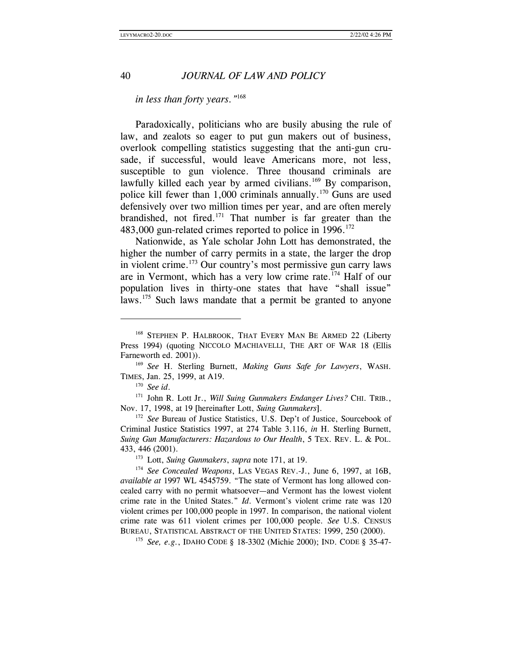#### *in less than forty years."*<sup>168</sup>

Paradoxically, politicians who are busily abusing the rule of law, and zealots so eager to put gun makers out of business, overlook compelling statistics suggesting that the anti-gun crusade, if successful, would leave Americans more, not less, susceptible to gun violence. Three thousand criminals are lawfully killed each year by armed civilians.<sup>169</sup> By comparison, police kill fewer than  $1,000$  criminals annually.<sup>170</sup> Guns are used defensively over two million times per year, and are often merely brandished, not fired.<sup>171</sup> That number is far greater than the 483,000 gun-related crimes reported to police in 1996.<sup>172</sup>

Nationwide, as Yale scholar John Lott has demonstrated, the higher the number of carry permits in a state, the larger the drop in violent crime.173 Our country's most permissive gun carry laws are in Vermont, which has a very low crime rate.174 Half of our population lives in thirty-one states that have "shall issue" laws.<sup>175</sup> Such laws mandate that a permit be granted to anyone

 $\overline{\phantom{a}}$ 

<sup>170</sup> *See id.* 171 *See id.* 171 *See id.* 171 *John R. Lott Jr., Will Suing Gunmakers Endanger Lives?* CHI. TRIB., Nov. 17, 1998, at 19 [hereinafter Lott, *Suing Gunmakers*]. 172 *See* Bureau of Justice Statistics, U.S. Dep't of Justice, Sourcebook of

Criminal Justice Statistics 1997, at 274 Table 3.116, *in* H. Sterling Burnett, *Suing Gun Manufacturers: Hazardous to Our Health*, 5 TEX. REV. L. & POL. 433, 446 (2001).<br><sup>173</sup> Lott, *Suing Gunmakers*, *supra* note 171, at 19.<br><sup>174</sup> *See Concealed Weapons*, LAS VEGAS REV.-J., June 6, 1997, at 16B,

<sup>&</sup>lt;sup>168</sup> STEPHEN P. HALBROOK, THAT EVERY MAN BE ARMED 22 (Liberty Press 1994) (quoting NICCOLO MACHIAVELLI, THE ART OF WAR 18 (Ellis Farneworth ed. 2001)). 169 *See* H. Sterling Burnett, *Making Guns Safe for Lawyers*, WASH.

TIMES, Jan. 25, 1999, at A19.

*available at* 1997 WL 4545759. "The state of Vermont has long allowed concealed carry with no permit whatsoever—and Vermont has the lowest violent crime rate in the United States." *Id*. Vermont's violent crime rate was 120 violent crimes per 100,000 people in 1997. In comparison, the national violent crime rate was 611 violent crimes per 100,000 people. *See* U.S. CENSUS BUREAU, STATISTICAL ABSTRACT OF THE UNITED STATES: 1999, 250 (2000). 175 *See, e.g.*, IDAHO CODE § 18-3302 (Michie 2000); IND. CODE § 35-47-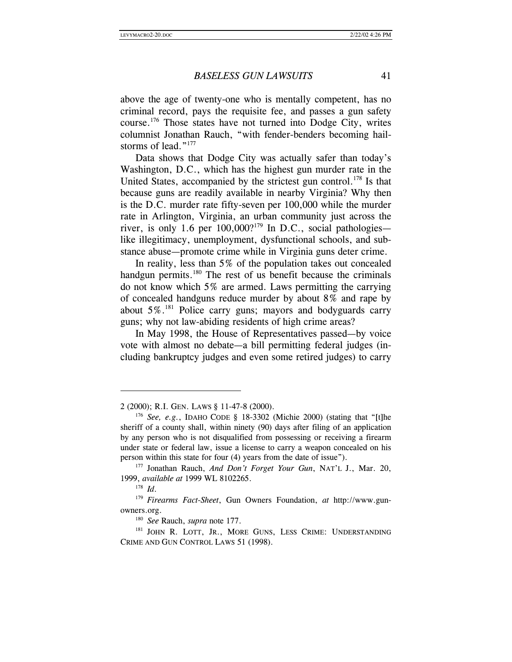above the age of twenty-one who is mentally competent, has no criminal record, pays the requisite fee, and passes a gun safety course.176 Those states have not turned into Dodge City, writes columnist Jonathan Rauch, "with fender-benders becoming hailstorms of lead."<sup>177</sup>

Data shows that Dodge City was actually safer than today's Washington, D.C., which has the highest gun murder rate in the United States, accompanied by the strictest gun control.<sup>178</sup> Is that because guns are readily available in nearby Virginia? Why then is the D.C. murder rate fifty-seven per 100,000 while the murder rate in Arlington, Virginia, an urban community just across the river, is only 1.6 per  $100,000$ ?<sup>179</sup> In D.C., social pathologies like illegitimacy, unemployment, dysfunctional schools, and substance abuse—promote crime while in Virginia guns deter crime.

In reality, less than 5% of the population takes out concealed handgun permits.<sup>180</sup> The rest of us benefit because the criminals do not know which 5% are armed. Laws permitting the carrying of concealed handguns reduce murder by about 8% and rape by about  $5\%$ <sup>81</sup> Police carry guns; mayors and bodyguards carry guns; why not law-abiding residents of high crime areas?

In May 1998, the House of Representatives passed—by voice vote with almost no debate—a bill permitting federal judges (including bankruptcy judges and even some retired judges) to carry

<sup>2 (2000);</sup> R.I. GEN. LAWS § 11-47-8 (2000). 176 *See, e.g.*, IDAHO CODE § 18-3302 (Michie 2000) (stating that "[t]he sheriff of a county shall, within ninety (90) days after filing of an application by any person who is not disqualified from possessing or receiving a firearm under state or federal law, issue a license to carry a weapon concealed on his person within this state for four (4) years from the date of issue"). 177 Jonathan Rauch, *And Don't Forget Your Gun*, NAT'L J., Mar. 20,

<sup>1999,</sup> *available at* 1999 WL 8102265.

<sup>178</sup> *Id*.

<sup>179</sup> *Firearms Fact-Sheet*, Gun Owners Foundation, *at* http://www.gunowners.org. 180 *See* Rauch, *supra* note 177.

<sup>&</sup>lt;sup>181</sup> JOHN R. LOTT, JR., MORE GUNS, LESS CRIME: UNDERSTANDING CRIME AND GUN CONTROL LAWS 51 (1998).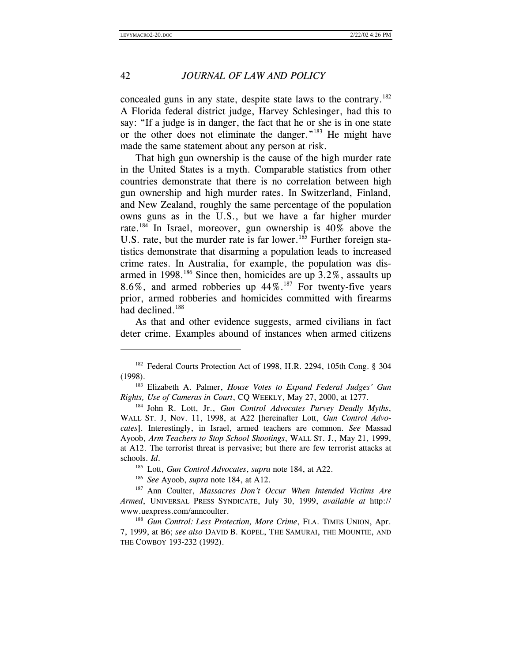l

# 42 *JOURNAL OF LAW AND POLICY*

concealed guns in any state, despite state laws to the contrary.182 A Florida federal district judge, Harvey Schlesinger, had this to say: "If a judge is in danger, the fact that he or she is in one state or the other does not eliminate the danger."183 He might have made the same statement about any person at risk.

That high gun ownership is the cause of the high murder rate in the United States is a myth. Comparable statistics from other countries demonstrate that there is no correlation between high gun ownership and high murder rates. In Switzerland, Finland, and New Zealand, roughly the same percentage of the population owns guns as in the U.S., but we have a far higher murder rate.<sup>184</sup> In Israel, moreover, gun ownership is  $40\%$  above the U.S. rate, but the murder rate is far lower.<sup>185</sup> Further foreign statistics demonstrate that disarming a population leads to increased crime rates. In Australia, for example, the population was disarmed in 1998.<sup>186</sup> Since then, homicides are up  $3.2\%$ , assaults up 8.6%, and armed robberies up  $44\%$ .<sup>187</sup> For twenty-five years prior, armed robberies and homicides committed with firearms had declined.<sup>188</sup>

As that and other evidence suggests, armed civilians in fact deter crime. Examples abound of instances when armed citizens

<sup>&</sup>lt;sup>182</sup> Federal Courts Protection Act of 1998, H.R. 2294, 105th Cong. § 304 (1998). 183 Elizabeth A. Palmer, *House Votes to Expand Federal Judges' Gun* 

*Rights, Use of Cameras in Court*, CQ WEEKLY, May 27, 2000, at 1277. 184 John R. Lott, Jr., *Gun Control Advocates Purvey Deadly Myths*,

WALL ST. J, Nov. 11, 1998, at A22 [hereinafter Lott, *Gun Control Advocates*]. Interestingly, in Israel, armed teachers are common. *See* Massad Ayoob, *Arm Teachers to Stop School Shootings*, WALL ST. J., May 21, 1999, at A12. The terrorist threat is pervasive; but there are few terrorist attacks at schools. *Id*. 185 Lott, *Gun Control Advocates*, *supra* note 184, at A22.

<sup>&</sup>lt;sup>186</sup> *See* Ayoob, *supra* note 184, at A12.<br><sup>187</sup> Ann Coulter, *Massacres Don't Occur When Intended Victims Are Armed*, UNIVERSAL PRESS SYNDICATE, July 30, 1999, *available at* http:// www.uexpress.com/anncoulter.

<sup>&</sup>lt;sup>188</sup> *Gun Control: Less Protection, More Crime*, FLA. TIMES UNION, Apr. 7, 1999, at B6; *see also* DAVID B. KOPEL, THE SAMURAI, THE MOUNTIE, AND THE COWBOY 193-232 (1992).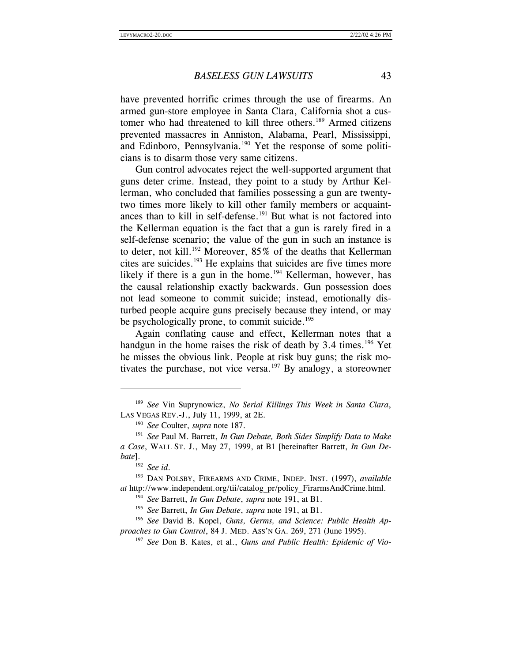have prevented horrific crimes through the use of firearms. An armed gun-store employee in Santa Clara, California shot a customer who had threatened to kill three others.<sup>189</sup> Armed citizens prevented massacres in Anniston, Alabama, Pearl, Mississippi, and Edinboro, Pennsylvania.<sup>190</sup> Yet the response of some politicians is to disarm those very same citizens.

Gun control advocates reject the well-supported argument that guns deter crime. Instead, they point to a study by Arthur Kellerman, who concluded that families possessing a gun are twentytwo times more likely to kill other family members or acquaintances than to kill in self-defense.<sup>191</sup> But what is not factored into the Kellerman equation is the fact that a gun is rarely fired in a self-defense scenario; the value of the gun in such an instance is to deter, not kill.<sup>192</sup> Moreover, 85% of the deaths that Kellerman cites are suicides.193 He explains that suicides are five times more likely if there is a gun in the home.<sup>194</sup> Kellerman, however, has the causal relationship exactly backwards. Gun possession does not lead someone to commit suicide; instead, emotionally disturbed people acquire guns precisely because they intend, or may be psychologically prone, to commit suicide.<sup>195</sup>

Again conflating cause and effect, Kellerman notes that a handgun in the home raises the risk of death by  $3.4$  times.<sup>196</sup> Yet he misses the obvious link. People at risk buy guns; the risk motivates the purchase, not vice versa.<sup>197</sup> By analogy, a storeowner

<sup>189</sup> *See* Vin Suprynowicz, *No Serial Killings This Week in Santa Clara*, LAS VEGAS REV.-J., July 11, 1999, at 2E. 190 *See* Coulter, *supra* note 187.

<sup>191</sup> *See* Paul M. Barrett, *In Gun Debate, Both Sides Simplify Data to Make a Case*, WALL ST. J., May 27, 1999, at B1 [hereinafter Barrett, *In Gun Debate*].

<sup>192</sup> *See id*. 193 DAN POLSBY, FIREARMS AND CRIME, INDEP. INST. (1997), *available at* http://www.independent.org/tii/catalog\_pr/policy\_FirarmsAndCrime.html. 194 *See* Barrett, *In Gun Debate*, *supra* note 191, at B1.

<sup>195</sup> *See* Barrett, *In Gun Debate*, *supra* note 191, at B1.

<sup>196</sup> *See* David B. Kopel, *Guns, Germs, and Science: Public Health Approaches to Gun Control*, 84 J. MED. ASS'N GA. 269, 271 (June 1995). 197 *See* Don B. Kates, et al., *Guns and Public Health: Epidemic of Vio-*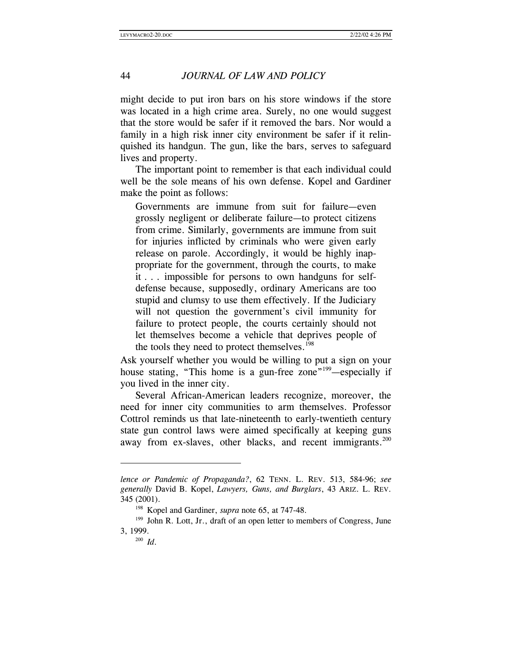might decide to put iron bars on his store windows if the store was located in a high crime area. Surely, no one would suggest that the store would be safer if it removed the bars. Nor would a family in a high risk inner city environment be safer if it relinquished its handgun. The gun, like the bars, serves to safeguard lives and property.

The important point to remember is that each individual could well be the sole means of his own defense. Kopel and Gardiner make the point as follows:

Governments are immune from suit for failure—even grossly negligent or deliberate failure—to protect citizens from crime. Similarly, governments are immune from suit for injuries inflicted by criminals who were given early release on parole. Accordingly, it would be highly inappropriate for the government, through the courts, to make it . . . impossible for persons to own handguns for selfdefense because, supposedly, ordinary Americans are too stupid and clumsy to use them effectively. If the Judiciary will not question the government's civil immunity for failure to protect people, the courts certainly should not let themselves become a vehicle that deprives people of the tools they need to protect themselves.<sup>198</sup>

Ask yourself whether you would be willing to put a sign on your house stating, "This home is a gun-free zone"<sup>199</sup>—especially if you lived in the inner city.

Several African-American leaders recognize, moreover, the need for inner city communities to arm themselves. Professor Cottrol reminds us that late-nineteenth to early-twentieth century state gun control laws were aimed specifically at keeping guns away from ex-slaves, other blacks, and recent immigrants.<sup>200</sup>

*lence or Pandemic of Propaganda?*, 62 TENN. L. REV. 513, 584-96; *see generally* David B. Kopel, *Lawyers, Guns, and Burglars*, 43 ARIZ. L. REV.

<sup>&</sup>lt;sup>198</sup> Kopel and Gardiner, *supra* note 65, at 747-48.<br><sup>199</sup> John R. Lott, Jr., draft of an open letter to members of Congress, June<br>3. 1999.

 $200$  *Id*.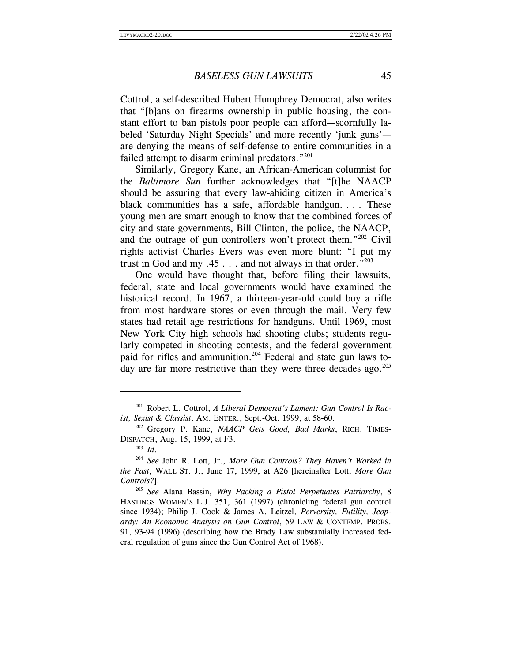Cottrol, a self-described Hubert Humphrey Democrat, also writes that "[b]ans on firearms ownership in public housing, the constant effort to ban pistols poor people can afford—scornfully labeled 'Saturday Night Specials' and more recently 'junk guns' are denying the means of self-defense to entire communities in a failed attempt to disarm criminal predators."<sup>201</sup>

Similarly, Gregory Kane, an African-American columnist for the *Baltimore Sun* further acknowledges that "[t]he NAACP should be assuring that every law-abiding citizen in America's black communities has a safe, affordable handgun. ... These young men are smart enough to know that the combined forces of city and state governments, Bill Clinton, the police, the NAACP, and the outrage of gun controllers won't protect them."202 Civil rights activist Charles Evers was even more blunt: "I put my trust in God and my .45  $\ldots$  and not always in that order."<sup>203</sup>

One would have thought that, before filing their lawsuits, federal, state and local governments would have examined the historical record. In 1967, a thirteen-year-old could buy a rifle from most hardware stores or even through the mail. Very few states had retail age restrictions for handguns. Until 1969, most New York City high schools had shooting clubs; students regularly competed in shooting contests, and the federal government paid for rifles and ammunition.<sup>204</sup> Federal and state gun laws today are far more restrictive than they were three decades ago.<sup>205</sup>

<sup>201</sup> Robert L. Cottrol, *A Liberal Democrat's Lament: Gun Control Is Racist, Sexist & Classist*, AM. ENTER., Sept.-Oct. 1999, at 58-60. 202 Gregory P. Kane, *NAACP Gets Good, Bad Marks*, RICH. TIMES-

DISPATCH, Aug. 15, 1999, at F3. 203 *Id*. 204 *See* John R. Lott, Jr., *More Gun Controls? They Haven't Worked in* 

*the Past*, WALL ST. J., June 17, 1999, at A26 [hereinafter Lott, *More Gun* 

*Controls?*]. 205 *See* Alana Bassin, *Why Packing a Pistol Perpetuates Patriarchy*, 8 HASTINGS WOMEN'S L.J. 351, 361 (1997) (chronicling federal gun control since 1934); Philip J. Cook & James A. Leitzel, *Perversity, Futility, Jeopardy: An Economic Analysis on Gun Control*, 59 LAW & CONTEMP. PROBS. 91, 93-94 (1996) (describing how the Brady Law substantially increased federal regulation of guns since the Gun Control Act of 1968).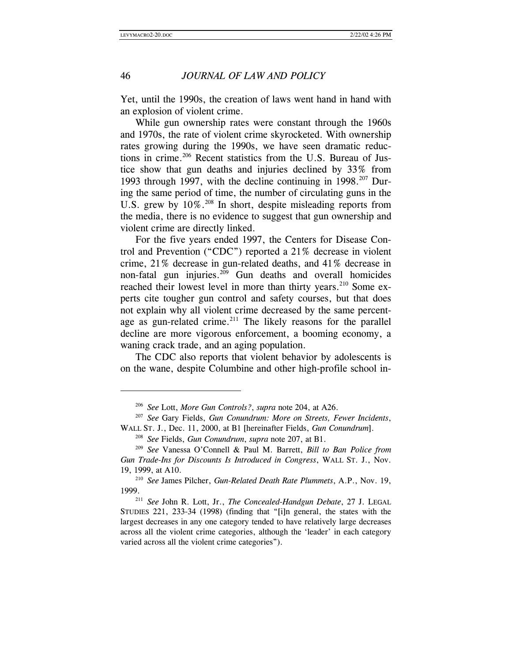$\overline{\phantom{a}}$ 

# 46 *JOURNAL OF LAW AND POLICY*

Yet, until the 1990s, the creation of laws went hand in hand with an explosion of violent crime.

While gun ownership rates were constant through the 1960s and 1970s, the rate of violent crime skyrocketed. With ownership rates growing during the 1990s, we have seen dramatic reductions in crime.<sup>206</sup> Recent statistics from the U.S. Bureau of Justice show that gun deaths and injuries declined by 33% from 1993 through 1997, with the decline continuing in  $1998.^{207}$  During the same period of time, the number of circulating guns in the U.S. grew by 10%.<sup>208</sup> In short, despite misleading reports from the media, there is no evidence to suggest that gun ownership and violent crime are directly linked.

For the five years ended 1997, the Centers for Disease Control and Prevention ("CDC") reported a 21% decrease in violent crime, 21% decrease in gun-related deaths, and 41% decrease in non-fatal gun injuries.<sup>209</sup> Gun deaths and overall homicides reached their lowest level in more than thirty years.<sup>210</sup> Some experts cite tougher gun control and safety courses, but that does not explain why all violent crime decreased by the same percentage as gun-related crime.<sup>211</sup> The likely reasons for the parallel decline are more vigorous enforcement, a booming economy, a waning crack trade, and an aging population.

The CDC also reports that violent behavior by adolescents is on the wane, despite Columbine and other high-profile school in-

<sup>206</sup> *See* Lott, *More Gun Controls?*, *supra* note 204, at A26.

<sup>207</sup> *See* Gary Fields, *Gun Conundrum: More on Streets, Fewer Incidents*, WALL ST. J., Dec. 11, 2000, at B1 [hereinafter Fields, *Gun Conundrum*].

<sup>208</sup> *See* Fields, *Gun Conundrum*, *supra* note 207, at B1. 209 *See* Vanessa O'Connell & Paul M. Barrett, *Bill to Ban Police from Gun Trade-Ins for Discounts Is Introduced in Congress*, WALL ST. J., Nov.

<sup>19, 1999,</sup> at A10. 210 *See* James Pilcher, *Gun-Related Death Rate Plummets*, A.P., Nov. 19,

<sup>&</sup>lt;sup>211</sup> See John R. Lott, Jr., *The Concealed-Handgun Debate*, 27 J. LEGAL STUDIES 221, 233-34 (1998) (finding that "[i]n general, the states with the largest decreases in any one category tended to have relatively large decreases across all the violent crime categories, although the 'leader' in each category varied across all the violent crime categories").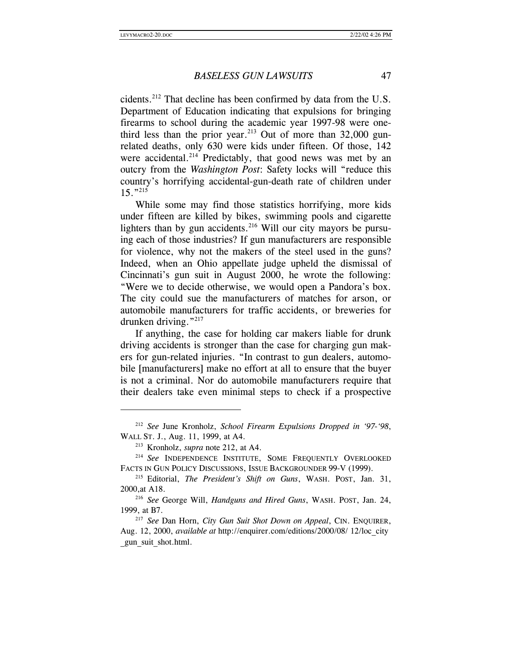cidents.212 That decline has been confirmed by data from the U.S. Department of Education indicating that expulsions for bringing firearms to school during the academic year 1997-98 were onethird less than the prior year.<sup>213</sup> Out of more than  $32,000$  gunrelated deaths, only 630 were kids under fifteen. Of those, 142 were accidental.<sup>214</sup> Predictably, that good news was met by an outcry from the *Washington Post*: Safety locks will "reduce this country's horrifying accidental-gun-death rate of children under  $15.$ "<sup>215</sup>

While some may find those statistics horrifying, more kids under fifteen are killed by bikes, swimming pools and cigarette lighters than by gun accidents.<sup>216</sup> Will our city mayors be pursuing each of those industries? If gun manufacturers are responsible for violence, why not the makers of the steel used in the guns? Indeed, when an Ohio appellate judge upheld the dismissal of Cincinnati's gun suit in August 2000, he wrote the following: "Were we to decide otherwise, we would open a Pandora's box. The city could sue the manufacturers of matches for arson, or automobile manufacturers for traffic accidents, or breweries for drunken driving."217

If anything, the case for holding car makers liable for drunk driving accidents is stronger than the case for charging gun makers for gun-related injuries. "In contrast to gun dealers, automobile [manufacturers] make no effort at all to ensure that the buyer is not a criminal. Nor do automobile manufacturers require that their dealers take even minimal steps to check if a prospective

<sup>212</sup> *See* June Kronholz, *School Firearm Expulsions Dropped in '97-'98*, WALL ST. J., Aug. 11, 1999, at A4.

<sup>&</sup>lt;sup>213</sup> Kronholz, *supra* note 212, at A4.<br><sup>214</sup> *See* INDEPENDENCE INSTITUTE, SOME FREQUENTLY OVERLOOKED FACTS IN GUN POLICY DISCUSSIONS, ISSUE BACKGROUNDER 99-V (1999). 215 Editorial, *The President's Shift on Guns*, WASH. POST, Jan. 31,

<sup>2000,</sup>at A18. 216 *See* George Will, *Handguns and Hired Guns*, WASH. POST, Jan. 24,

<sup>1999,</sup> at B7. 217 *See* Dan Horn, *City Gun Suit Shot Down on Appeal*, CIN. ENQUIRER,

Aug. 12, 2000, *available at* http://enquirer.com/editions/2000/08/ 12/loc\_city \_gun\_suit\_shot.html.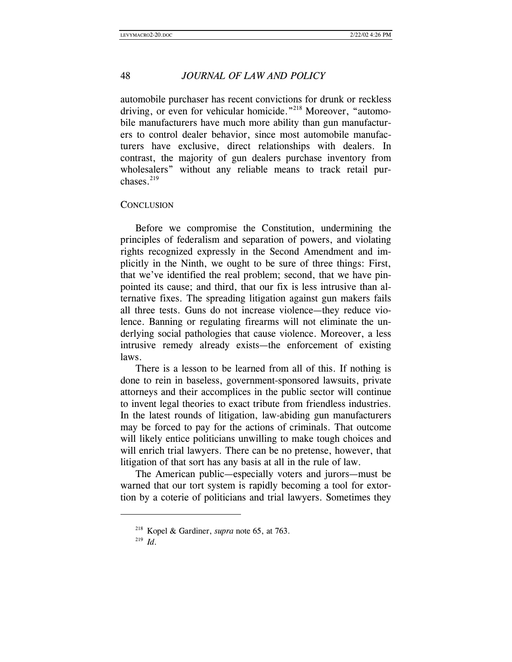automobile purchaser has recent convictions for drunk or reckless driving, or even for vehicular homicide."<sup>218</sup> Moreover, "automobile manufacturers have much more ability than gun manufacturers to control dealer behavior, since most automobile manufacturers have exclusive, direct relationships with dealers. In contrast, the majority of gun dealers purchase inventory from wholesalers" without any reliable means to track retail purchases.<sup>219</sup>

#### **CONCLUSION**

Before we compromise the Constitution, undermining the principles of federalism and separation of powers, and violating rights recognized expressly in the Second Amendment and implicitly in the Ninth, we ought to be sure of three things: First, that we've identified the real problem; second, that we have pinpointed its cause; and third, that our fix is less intrusive than alternative fixes. The spreading litigation against gun makers fails all three tests. Guns do not increase violence—they reduce violence. Banning or regulating firearms will not eliminate the underlying social pathologies that cause violence. Moreover, a less intrusive remedy already exists—the enforcement of existing laws.

There is a lesson to be learned from all of this. If nothing is done to rein in baseless, government-sponsored lawsuits, private attorneys and their accomplices in the public sector will continue to invent legal theories to exact tribute from friendless industries. In the latest rounds of litigation, law-abiding gun manufacturers may be forced to pay for the actions of criminals. That outcome will likely entice politicians unwilling to make tough choices and will enrich trial lawyers. There can be no pretense, however, that litigation of that sort has any basis at all in the rule of law.

The American public—especially voters and jurors—must be warned that our tort system is rapidly becoming a tool for extortion by a coterie of politicians and trial lawyers. Sometimes they

<sup>218</sup> Kopel & Gardiner, *supra* note 65, at 763. 219 *Id*.